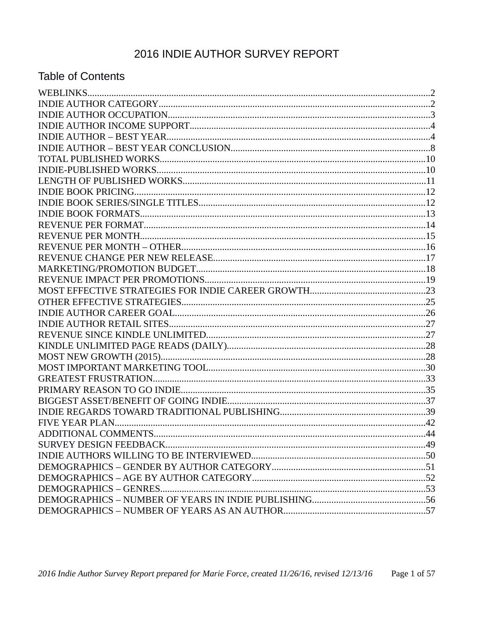# 2016 INDIE AUTHOR SURVEY REPORT

### **Table of Contents**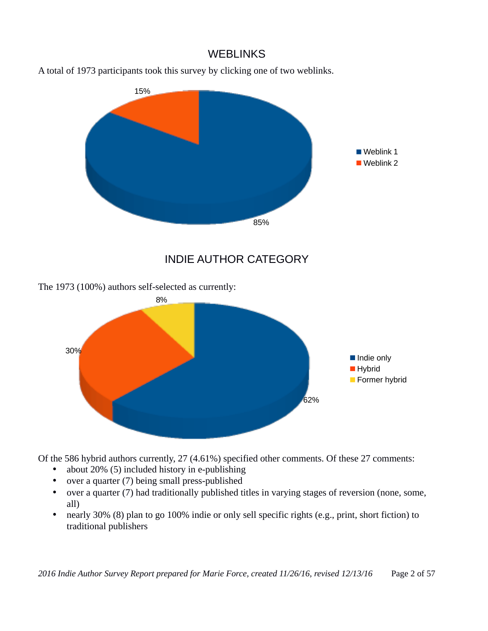#### **WEBLINKS**





INDIE AUTHOR CATEGORY

The 1973 (100%) authors self-selected as currently:



Of the 586 hybrid authors currently, 27 (4.61%) specified other comments. Of these 27 comments:

- about 20% (5) included history in e-publishing
- over a quarter (7) being small press-published
- over a quarter (7) had traditionally published titles in varying stages of reversion (none, some, all)
- nearly 30% (8) plan to go 100% indie or only sell specific rights (e.g., print, short fiction) to traditional publishers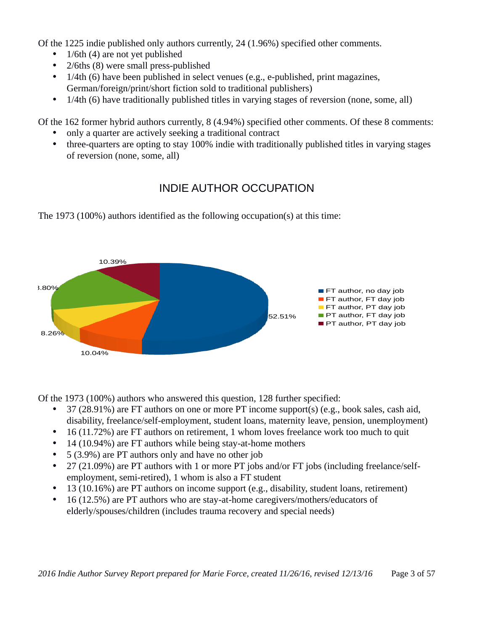Of the 1225 indie published only authors currently, 24 (1.96%) specified other comments.

- $1/6$ th  $(4)$  are not yet published
- 2/6ths (8) were small press-published
- 1/4th (6) have been published in select venues (e.g., e-published, print magazines, German/foreign/print/short fiction sold to traditional publishers)
- 1/4th (6) have traditionally published titles in varying stages of reversion (none, some, all)

Of the 162 former hybrid authors currently, 8 (4.94%) specified other comments. Of these 8 comments:

- only a quarter are actively seeking a traditional contract
- three-quarters are opting to stay 100% indie with traditionally published titles in varying stages of reversion (none, some, all)

## INDIE AUTHOR OCCUPATION

The 1973 (100%) authors identified as the following occupation(s) at this time:



Of the 1973 (100%) authors who answered this question, 128 further specified:

- 37 (28.91%) are FT authors on one or more PT income support(s) (e.g., book sales, cash aid, disability, freelance/self-employment, student loans, maternity leave, pension, unemployment)
- 16 (11.72%) are FT authors on retirement, 1 whom loves freelance work too much to quit
- 14 (10.94%) are FT authors while being stay-at-home mothers
- 5 (3.9%) are PT authors only and have no other job
- 27 (21.09%) are PT authors with 1 or more PT jobs and/or FT jobs (including freelance/selfemployment, semi-retired), 1 whom is also a FT student
- 13 (10.16%) are PT authors on income support (e.g., disability, student loans, retirement)
- 16 (12.5%) are PT authors who are stay-at-home caregivers/mothers/educators of elderly/spouses/children (includes trauma recovery and special needs)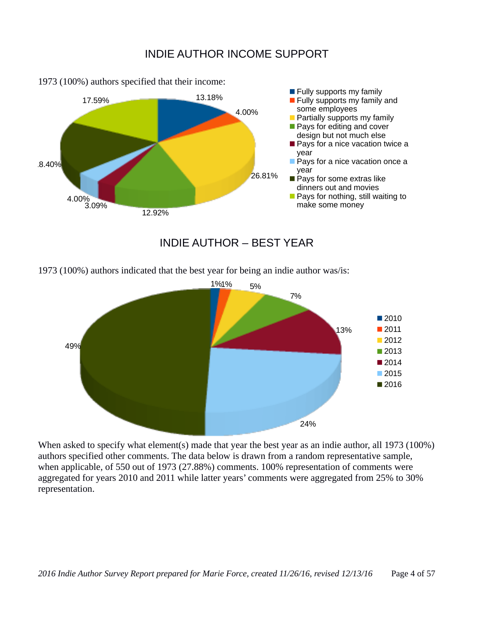#### INDIE AUTHOR INCOME SUPPORT



1973 (100%) authors specified that their income:

#### INDIE AUTHOR – BEST YEAR

1973 (100%) authors indicated that the best year for being an indie author was/is:



When asked to specify what element(s) made that year the best year as an indie author, all 1973 (100%) authors specified other comments. The data below is drawn from a random representative sample, when applicable, of 550 out of 1973 (27.88%) comments. 100% representation of comments were aggregated for years 2010 and 2011 while latter years' comments were aggregated from 25% to 30% representation.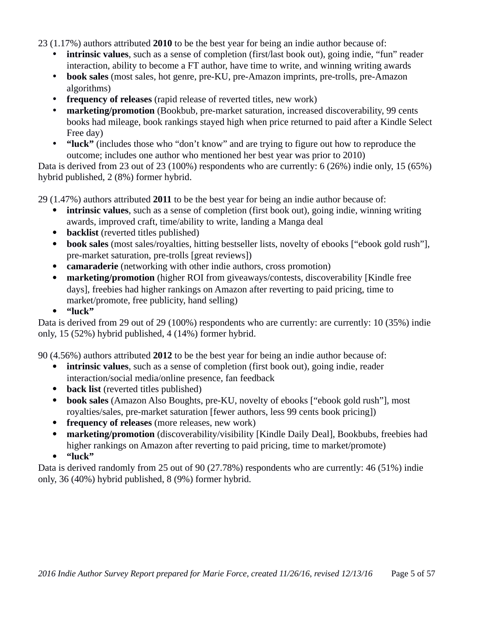23 (1.17%) authors attributed **2010** to be the best year for being an indie author because of:

- **intrinsic values**, such as a sense of completion (first/last book out), going indie, "fun" reader interaction, ability to become a FT author, have time to write, and winning writing awards
- **book sales** (most sales, hot genre, pre-KU, pre-Amazon imprints, pre-trolls, pre-Amazon algorithms)
- **frequency of releases** (rapid release of reverted titles, new work)
- **marketing/promotion** (Bookbub, pre-market saturation, increased discoverability, 99 cents books had mileage, book rankings stayed high when price returned to paid after a Kindle Select Free day)
- **"luck"** (includes those who "don't know" and are trying to figure out how to reproduce the outcome; includes one author who mentioned her best year was prior to 2010)

Data is derived from 23 out of 23 (100%) respondents who are currently: 6 (26%) indie only, 15 (65%) hybrid published, 2 (8%) former hybrid.

29 (1.47%) authors attributed **2011** to be the best year for being an indie author because of:

- **intrinsic values**, such as a sense of completion (first book out), going indie, winning writing awards, improved craft, time/ability to write, landing a Manga deal
- **backlist** (reverted titles published)
- **book sales** (most sales/royalties, hitting bestseller lists, novelty of ebooks ["ebook gold rush"], pre-market saturation, pre-trolls [great reviews])
- **camaraderie** (networking with other indie authors, cross promotion)
- **marketing/promotion** (higher ROI from giveaways/contests, discoverability [Kindle free days], freebies had higher rankings on Amazon after reverting to paid pricing, time to market/promote, free publicity, hand selling)
- **"luck"**

Data is derived from 29 out of 29 (100%) respondents who are currently: are currently: 10 (35%) indie only, 15 (52%) hybrid published, 4 (14%) former hybrid.

90 (4.56%) authors attributed **2012** to be the best year for being an indie author because of:

- **intrinsic values**, such as a sense of completion (first book out), going indie, reader interaction/social media/online presence, fan feedback
- **back list** (reverted titles published)
- **book sales** (Amazon Also Boughts, pre-KU, novelty of ebooks ["ebook gold rush"], most royalties/sales, pre-market saturation [fewer authors, less 99 cents book pricing])
- **frequency of releases** (more releases, new work)
- **marketing/promotion** (discoverability/visibility [Kindle Daily Deal], Bookbubs, freebies had higher rankings on Amazon after reverting to paid pricing, time to market/promote)
- **"luck"**

Data is derived randomly from 25 out of 90 (27.78%) respondents who are currently: 46 (51%) indie only, 36 (40%) hybrid published, 8 (9%) former hybrid.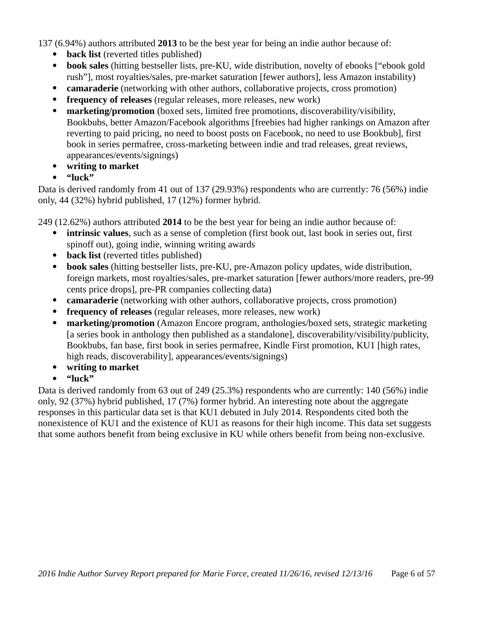137 (6.94%) authors attributed **2013** to be the best year for being an indie author because of:

- **back list** (reverted titles published)
- **book sales** (hitting bestseller lists, pre-KU, wide distribution, novelty of ebooks ["ebook gold rush"], most royalties/sales, pre-market saturation [fewer authors], less Amazon instability)
- **camaraderie** (networking with other authors, collaborative projects, cross promotion)
- **frequency of releases** (regular releases, more releases, new work)
- **marketing/promotion** (boxed sets, limited free promotions, discoverability/visibility, Bookbubs, better Amazon/Facebook algorithms [freebies had higher rankings on Amazon after reverting to paid pricing, no need to boost posts on Facebook, no need to use Bookbub], first book in series permafree, cross-marketing between indie and trad releases, great reviews, appearances/events/signings)
- **writing to market**
- **"luck"**

Data is derived randomly from 41 out of 137 (29.93%) respondents who are currently: 76 (56%) indie only, 44 (32%) hybrid published, 17 (12%) former hybrid.

249 (12.62%) authors attributed **2014** to be the best year for being an indie author because of:

- **intrinsic values**, such as a sense of completion (first book out, last book in series out, first spinoff out), going indie, winning writing awards
- **back list** (reverted titles published)
- **book sales** (hitting bestseller lists, pre-KU, pre-Amazon policy updates, wide distribution, foreign markets, most royalties/sales, pre-market saturation [fewer authors/more readers, pre-99 cents price drops], pre-PR companies collecting data)
- **camaraderie** (networking with other authors, collaborative projects, cross promotion)
- **frequency of releases** (regular releases, more releases, new work)
- **marketing/promotion** (Amazon Encore program, anthologies/boxed sets, strategic marketing [a series book in anthology then published as a standalone], discoverability/visibility/publicity, Bookbubs, fan base, first book in series permafree, Kindle First promotion, KU1 [high rates, high reads, discoverability], appearances/events/signings)
- **writing to market**
- **"luck"**

Data is derived randomly from 63 out of 249 (25.3%) respondents who are currently: 140 (56%) indie only, 92 (37%) hybrid published, 17 (7%) former hybrid. An interesting note about the aggregate responses in this particular data set is that KU1 debuted in July 2014. Respondents cited both the nonexistence of KU1 and the existence of KU1 as reasons for their high income. This data set suggests that some authors benefit from being exclusive in KU while others benefit from being non-exclusive.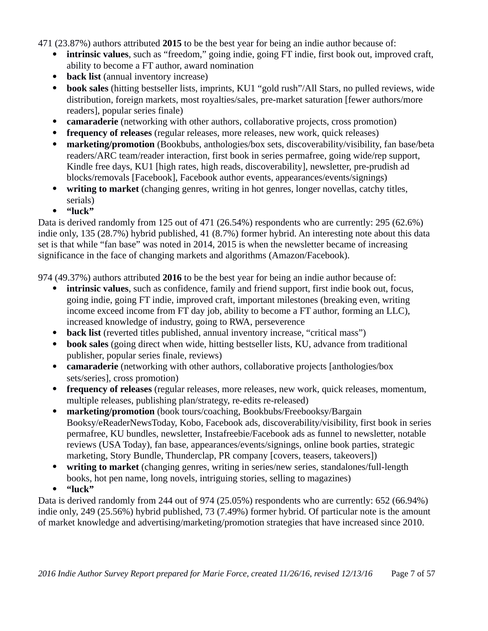471 (23.87%) authors attributed **2015** to be the best year for being an indie author because of:

- **intrinsic values**, such as "freedom," going indie, going FT indie, first book out, improved craft, ability to become a FT author, award nomination
- **back list** (annual inventory increase)
- **book sales** (hitting bestseller lists, imprints, KU1 "gold rush"/All Stars, no pulled reviews, wide distribution, foreign markets, most royalties/sales, pre-market saturation [fewer authors/more readers], popular series finale)
- **camaraderie** (networking with other authors, collaborative projects, cross promotion)
- **frequency of releases** (regular releases, more releases, new work, quick releases)
- **marketing/promotion** (Bookbubs, anthologies/box sets, discoverability/visibility, fan base/beta readers/ARC team/reader interaction, first book in series permafree, going wide/rep support, Kindle free days, KU1 [high rates, high reads, discoverability], newsletter, pre-prudish ad blocks/removals [Facebook], Facebook author events, appearances/events/signings)
- **writing to market** (changing genres, writing in hot genres, longer novellas, catchy titles, serials)
- **"luck"**

Data is derived randomly from 125 out of 471 (26.54%) respondents who are currently: 295 (62.6%) indie only, 135 (28.7%) hybrid published, 41 (8.7%) former hybrid. An interesting note about this data set is that while "fan base" was noted in 2014, 2015 is when the newsletter became of increasing significance in the face of changing markets and algorithms (Amazon/Facebook).

974 (49.37%) authors attributed **2016** to be the best year for being an indie author because of:

- **intrinsic values**, such as confidence, family and friend support, first indie book out, focus, going indie, going FT indie, improved craft, important milestones (breaking even, writing income exceed income from FT day job, ability to become a FT author, forming an LLC), increased knowledge of industry, going to RWA, perseverence
- **back list** (reverted titles published, annual inventory increase, "critical mass")
- **book sales** (going direct when wide, hitting bestseller lists, KU, advance from traditional publisher, popular series finale, reviews)
- **camaraderie** (networking with other authors, collaborative projects [anthologies/box sets/series], cross promotion)
- **frequency of releases** (regular releases, more releases, new work, quick releases, momentum, multiple releases, publishing plan/strategy, re-edits re-released)
- **marketing/promotion** (book tours/coaching, Bookbubs/Freebooksy/Bargain Booksy/eReaderNewsToday, Kobo, Facebook ads, discoverability/visibility, first book in series permafree, KU bundles, newsletter, Instafreebie/Facebook ads as funnel to newsletter, notable reviews (USA Today), fan base, appearances/events/signings, online book parties, strategic marketing, Story Bundle, Thunderclap, PR company [covers, teasers, takeovers])
- **writing to market** (changing genres, writing in series/new series, standalones/full-length books, hot pen name, long novels, intriguing stories, selling to magazines)
- **"luck"**

Data is derived randomly from 244 out of 974 (25.05%) respondents who are currently: 652 (66.94%) indie only, 249 (25.56%) hybrid published, 73 (7.49%) former hybrid. Of particular note is the amount of market knowledge and advertising/marketing/promotion strategies that have increased since 2010.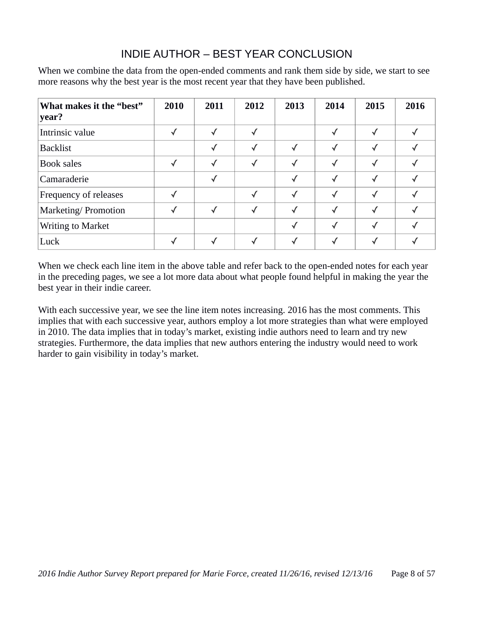### INDIE AUTHOR – BEST YEAR CONCLUSION

When we combine the data from the open-ended comments and rank them side by side, we start to see more reasons why the best year is the most recent year that they have been published.

| What makes it the "best"<br>year? | 2010 | 2011 | 2012 | 2013       | 2014 | 2015 | 2016 |
|-----------------------------------|------|------|------|------------|------|------|------|
| Intrinsic value                   |      |      |      |            |      |      |      |
| <b>Backlist</b>                   |      |      | √    | $\sqrt{ }$ |      |      |      |
| <b>Book sales</b>                 |      |      | √    |            |      |      |      |
| Camaraderie                       |      |      |      |            |      |      |      |
| Frequency of releases             |      |      | √    |            |      |      |      |
| Marketing/ Promotion              |      |      |      |            |      |      |      |
| Writing to Market                 |      |      |      |            |      |      |      |
| Luck                              |      |      |      |            |      |      |      |

When we check each line item in the above table and refer back to the open-ended notes for each year in the preceding pages, we see a lot more data about what people found helpful in making the year the best year in their indie career.

With each successive year, we see the line item notes increasing. 2016 has the most comments. This implies that with each successive year, authors employ a lot more strategies than what were employed in 2010. The data implies that in today's market, existing indie authors need to learn and try new strategies. Furthermore, the data implies that new authors entering the industry would need to work harder to gain visibility in today's market.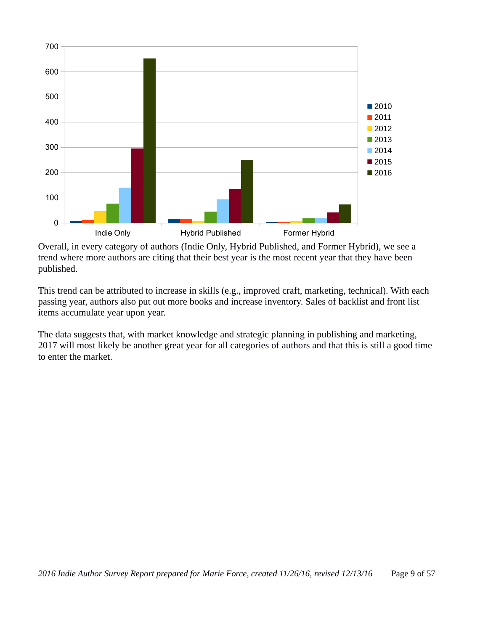

Overall, in every category of authors (Indie Only, Hybrid Published, and Former Hybrid), we see a trend where more authors are citing that their best year is the most recent year that they have been published.

This trend can be attributed to increase in skills (e.g., improved craft, marketing, technical). With each passing year, authors also put out more books and increase inventory. Sales of backlist and front list items accumulate year upon year.

The data suggests that, with market knowledge and strategic planning in publishing and marketing, 2017 will most likely be another great year for all categories of authors and that this is still a good time to enter the market.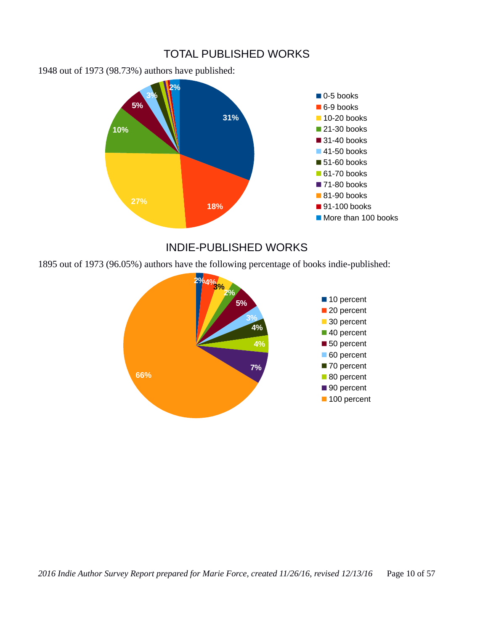#### TOTAL PUBLISHED WORKS

1948 out of 1973 (98.73%) authors have published:



#### INDIE-PUBLISHED WORKS

1895 out of 1973 (96.05%) authors have the following percentage of books indie-published:

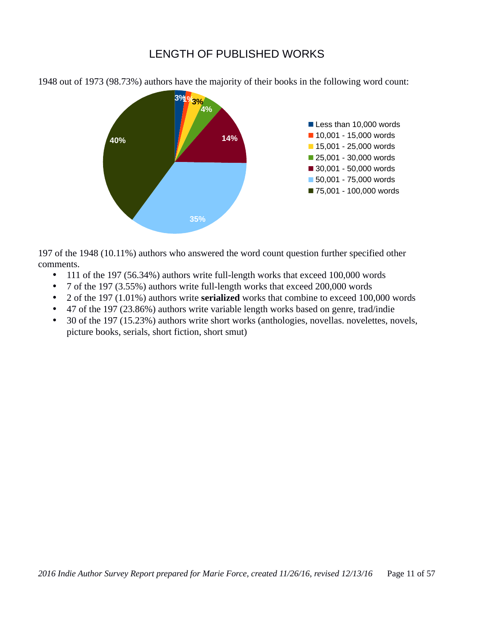#### LENGTH OF PUBLISHED WORKS



1948 out of 1973 (98.73%) authors have the majority of their books in the following word count:

197 of the 1948 (10.11%) authors who answered the word count question further specified other comments.

- 111 of the 197 (56.34%) authors write full-length works that exceed 100,000 words
- 7 of the 197 (3.55%) authors write full-length works that exceed 200,000 words
- 2 of the 197 (1.01%) authors write **serialized** works that combine to exceed 100,000 words
- 47 of the 197 (23.86%) authors write variable length works based on genre, trad/indie
- 30 of the 197 (15.23%) authors write short works (anthologies, novellas. novelettes, novels, picture books, serials, short fiction, short smut)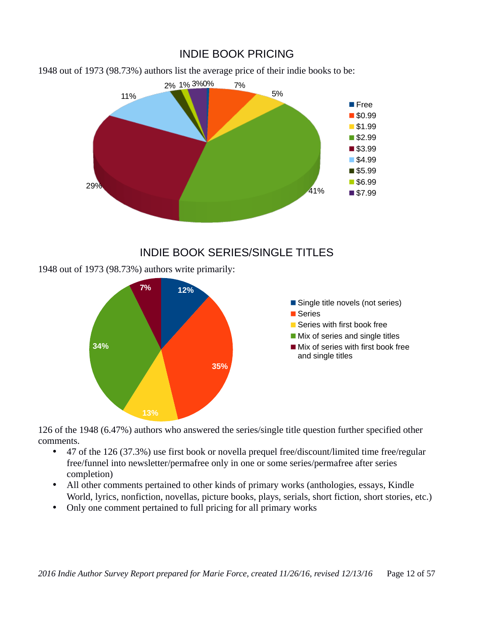### INDIE BOOK PRICING

1948 out of 1973 (98.73%) authors list the average price of their indie books to be:



#### INDIE BOOK SERIES/SINGLE TITLES

1948 out of 1973 (98.73%) authors write primarily:



126 of the 1948 (6.47%) authors who answered the series/single title question further specified other comments.

- 47 of the 126 (37.3%) use first book or novella prequel free/discount/limited time free/regular free/funnel into newsletter/permafree only in one or some series/permafree after series completion)
- All other comments pertained to other kinds of primary works (anthologies, essays, Kindle World, lyrics, nonfiction, novellas, picture books, plays, serials, short fiction, short stories, etc.)
- Only one comment pertained to full pricing for all primary works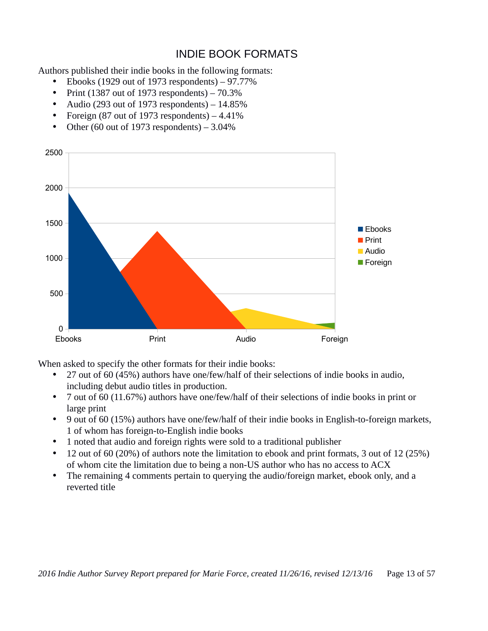## INDIE BOOK FORMATS

Authors published their indie books in the following formats:

- Ebooks (1929 out of 1973 respondents)  $-97.77\%$
- Print (1387 out of 1973 respondents) 70.3%
- Audio (293 out of 1973 respondents) 14.85%
- Foreign (87 out of 1973 respondents) 4.41%
- Other (60 out of 1973 respondents)  $-3.04\%$



When asked to specify the other formats for their indie books:

- 27 out of 60 (45%) authors have one/few/half of their selections of indie books in audio, including debut audio titles in production.
- 7 out of 60 (11.67%) authors have one/few/half of their selections of indie books in print or large print
- 9 out of 60 (15%) authors have one/few/half of their indie books in English-to-foreign markets, 1 of whom has foreign-to-English indie books
- 1 noted that audio and foreign rights were sold to a traditional publisher
- 12 out of 60 (20%) of authors note the limitation to ebook and print formats, 3 out of 12 (25%) of whom cite the limitation due to being a non-US author who has no access to ACX
- The remaining 4 comments pertain to querying the audio/foreign market, ebook only, and a reverted title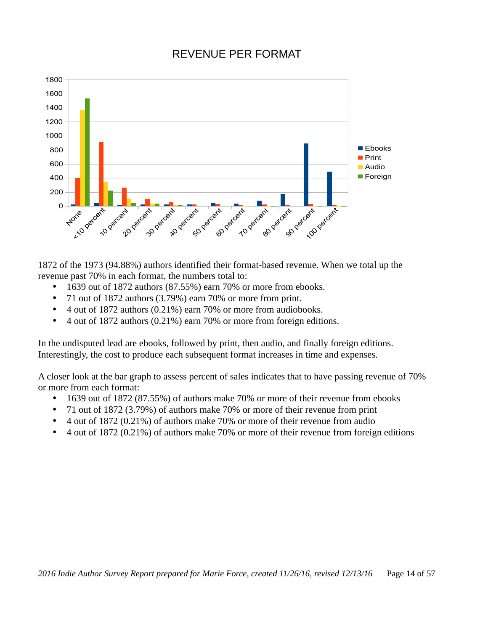### REVENUE PER FORMAT



1872 of the 1973 (94.88%) authors identified their format-based revenue. When we total up the revenue past 70% in each format, the numbers total to:

- 1639 out of 1872 authors (87.55%) earn 70% or more from ebooks.
- 71 out of 1872 authors (3.79%) earn 70% or more from print.
- 4 out of 1872 authors (0.21%) earn 70% or more from audiobooks.
- 4 out of 1872 authors (0.21%) earn 70% or more from foreign editions.

In the undisputed lead are ebooks, followed by print, then audio, and finally foreign editions. Interestingly, the cost to produce each subsequent format increases in time and expenses.

A closer look at the bar graph to assess percent of sales indicates that to have passing revenue of 70% or more from each format:

- 1639 out of 1872 (87.55%) of authors make 70% or more of their revenue from ebooks
- 71 out of 1872 (3.79%) of authors make 70% or more of their revenue from print
- 4 out of 1872 (0.21%) of authors make 70% or more of their revenue from audio
- 4 out of 1872 (0.21%) of authors make 70% or more of their revenue from foreign editions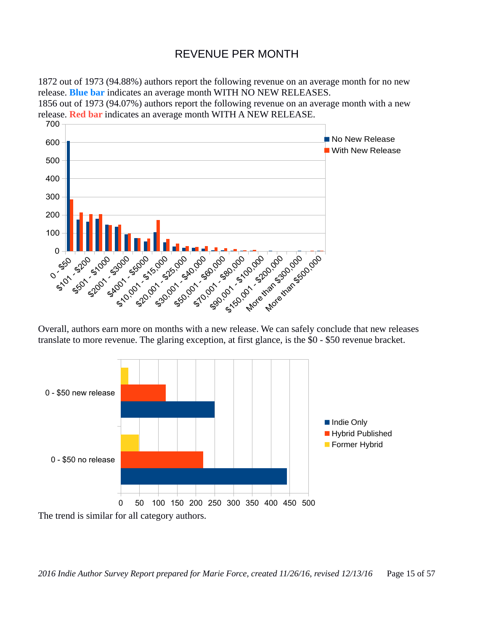### REVENUE PER MONTH

1872 out of 1973 (94.88%) authors report the following revenue on an average month for no new release. **Blue bar** indicates an average month WITH NO NEW RELEASES.

1856 out of 1973 (94.07%) authors report the following revenue on an average month with a new release. **Red bar** indicates an average month WITH A NEW RELEASE.



Overall, authors earn more on months with a new release. We can safely conclude that new releases translate to more revenue. The glaring exception, at first glance, is the \$0 - \$50 revenue bracket.

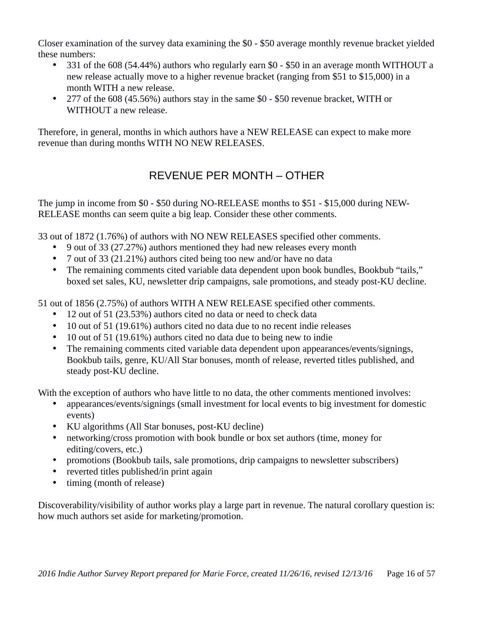Closer examination of the survey data examining the \$0 - \$50 average monthly revenue bracket yielded these numbers:

- 331 of the 608 (54.44%) authors who regularly earn \$0 \$50 in an average month WITHOUT a new release actually move to a higher revenue bracket (ranging from \$51 to \$15,000) in a month WITH a new release.
- 277 of the 608 (45.56%) authors stay in the same \$0 \$50 revenue bracket, WITH or WITHOUT a new release.

Therefore, in general, months in which authors have a NEW RELEASE can expect to make more revenue than during months WITH NO NEW RELEASES.

# REVENUE PER MONTH – OTHER

The jump in income from \$0 - \$50 during NO-RELEASE months to \$51 - \$15,000 during NEW-RELEASE months can seem quite a big leap. Consider these other comments.

33 out of 1872 (1.76%) of authors with NO NEW RELEASES specified other comments.

- 9 out of 33 (27.27%) authors mentioned they had new releases every month
- 7 out of 33 (21.21%) authors cited being too new and/or have no data
- The remaining comments cited variable data dependent upon book bundles, Bookbub "tails," boxed set sales, KU, newsletter drip campaigns, sale promotions, and steady post-KU decline.

51 out of 1856 (2.75%) of authors WITH A NEW RELEASE specified other comments.

- 12 out of 51 (23.53%) authors cited no data or need to check data
- 10 out of 51 (19.61%) authors cited no data due to no recent indie releases
- 10 out of 51 (19.61%) authors cited no data due to being new to indie
- The remaining comments cited variable data dependent upon appearances/events/signings, Bookbub tails, genre, KU/All Star bonuses, month of release, reverted titles published, and steady post-KU decline.

With the exception of authors who have little to no data, the other comments mentioned involves:

- appearances/events/signings (small investment for local events to big investment for domestic events)
- KU algorithms (All Star bonuses, post-KU decline)
- networking/cross promotion with book bundle or box set authors (time, money for editing/covers, etc.)
- promotions (Bookbub tails, sale promotions, drip campaigns to newsletter subscribers)
- reverted titles published/in print again
- timing (month of release)

Discoverability/visibility of author works play a large part in revenue. The natural corollary question is: how much authors set aside for marketing/promotion.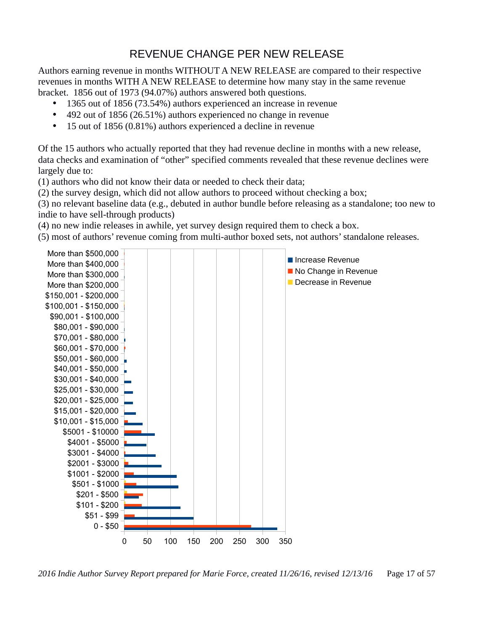# REVENUE CHANGE PER NEW RELEASE

Authors earning revenue in months WITHOUT A NEW RELEASE are compared to their respective revenues in months WITH A NEW RELEASE to determine how many stay in the same revenue bracket. 1856 out of 1973 (94.07%) authors answered both questions.

- 1365 out of 1856 (73.54%) authors experienced an increase in revenue
- 492 out of 1856 (26.51%) authors experienced no change in revenue
- 15 out of 1856 (0.81%) authors experienced a decline in revenue

Of the 15 authors who actually reported that they had revenue decline in months with a new release, data checks and examination of "other" specified comments revealed that these revenue declines were largely due to:

(1) authors who did not know their data or needed to check their data;

(2) the survey design, which did not allow authors to proceed without checking a box;

(3) no relevant baseline data (e.g., debuted in author bundle before releasing as a standalone; too new to indie to have sell-through products)

(4) no new indie releases in awhile, yet survey design required them to check a box.

(5) most of authors' revenue coming from multi-author boxed sets, not authors' standalone releases.



*2016 Indie Author Survey Report prepared for Marie Force, created 11/26/16, revised 12/13/16* Page 17 of 57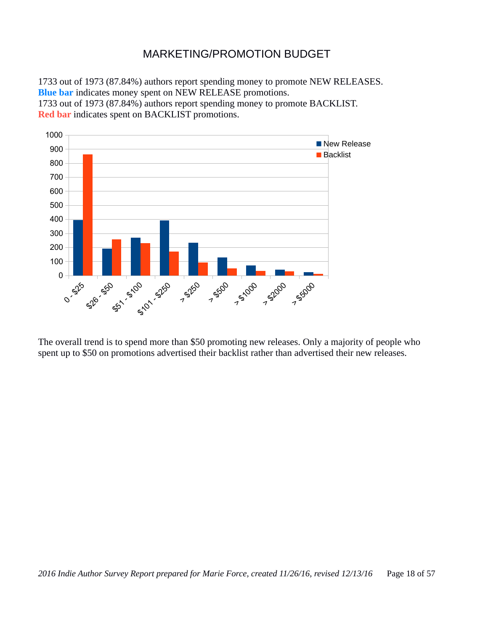### MARKETING/PROMOTION BUDGET

1733 out of 1973 (87.84%) authors report spending money to promote NEW RELEASES. **Blue bar** indicates money spent on NEW RELEASE promotions.

1733 out of 1973 (87.84%) authors report spending money to promote BACKLIST. **Red bar** indicates spent on BACKLIST promotions.



The overall trend is to spend more than \$50 promoting new releases. Only a majority of people who spent up to \$50 on promotions advertised their backlist rather than advertised their new releases.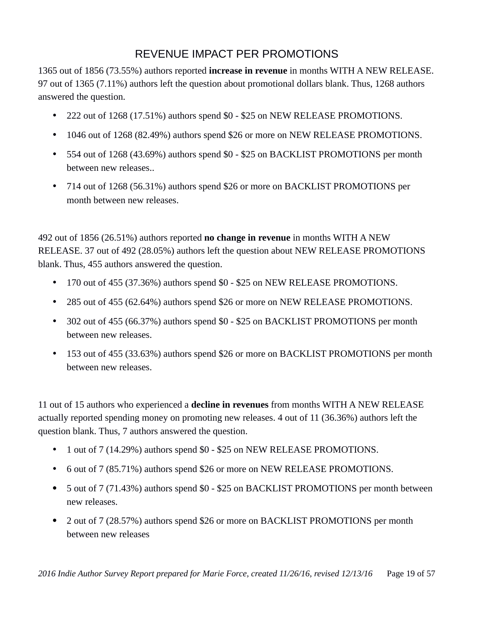# REVENUE IMPACT PER PROMOTIONS

1365 out of 1856 (73.55%) authors reported **increase in revenue** in months WITH A NEW RELEASE. 97 out of 1365 (7.11%) authors left the question about promotional dollars blank. Thus, 1268 authors answered the question.

- 222 out of 1268 (17.51%) authors spend \$0 \$25 on NEW RELEASE PROMOTIONS.
- 1046 out of 1268 (82.49%) authors spend \$26 or more on NEW RELEASE PROMOTIONS.
- 554 out of 1268 (43.69%) authors spend \$0 \$25 on BACKLIST PROMOTIONS per month between new releases..
- 714 out of 1268 (56.31%) authors spend \$26 or more on BACKLIST PROMOTIONS per month between new releases.

492 out of 1856 (26.51%) authors reported **no change in revenue** in months WITH A NEW RELEASE. 37 out of 492 (28.05%) authors left the question about NEW RELEASE PROMOTIONS blank. Thus, 455 authors answered the question.

- 170 out of 455 (37.36%) authors spend \$0 \$25 on NEW RELEASE PROMOTIONS.
- 285 out of 455 (62.64%) authors spend \$26 or more on NEW RELEASE PROMOTIONS.
- 302 out of 455 (66.37%) authors spend \$0 \$25 on BACKLIST PROMOTIONS per month between new releases.
- 153 out of 455 (33.63%) authors spend \$26 or more on BACKLIST PROMOTIONS per month between new releases.

11 out of 15 authors who experienced a **decline in revenues** from months WITH A NEW RELEASE actually reported spending money on promoting new releases. 4 out of 11 (36.36%) authors left the question blank. Thus, 7 authors answered the question.

- 1 out of 7 (14.29%) authors spend \$0 \$25 on NEW RELEASE PROMOTIONS.
- 6 out of 7 (85.71%) authors spend \$26 or more on NEW RELEASE PROMOTIONS.
- 5 out of 7 (71.43%) authors spend \$0 \$25 on BACKLIST PROMOTIONS per month between new releases.
- 2 out of 7 (28.57%) authors spend \$26 or more on BACKLIST PROMOTIONS per month between new releases

*2016 Indie Author Survey Report prepared for Marie Force, created 11/26/16, revised 12/13/16* Page 19 of 57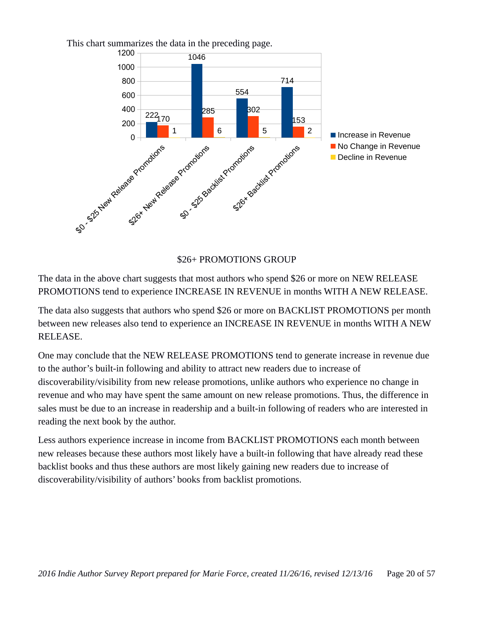

This chart summarizes the data in the preceding page.

\$26+ PROMOTIONS GROUP

The data in the above chart suggests that most authors who spend \$26 or more on NEW RELEASE PROMOTIONS tend to experience INCREASE IN REVENUE in months WITH A NEW RELEASE.

The data also suggests that authors who spend \$26 or more on BACKLIST PROMOTIONS per month between new releases also tend to experience an INCREASE IN REVENUE in months WITH A NEW RELEASE.

One may conclude that the NEW RELEASE PROMOTIONS tend to generate increase in revenue due to the author's built-in following and ability to attract new readers due to increase of discoverability/visibility from new release promotions, unlike authors who experience no change in revenue and who may have spent the same amount on new release promotions. Thus, the difference in sales must be due to an increase in readership and a built-in following of readers who are interested in reading the next book by the author.

Less authors experience increase in income from BACKLIST PROMOTIONS each month between new releases because these authors most likely have a built-in following that have already read these backlist books and thus these authors are most likely gaining new readers due to increase of discoverability/visibility of authors' books from backlist promotions.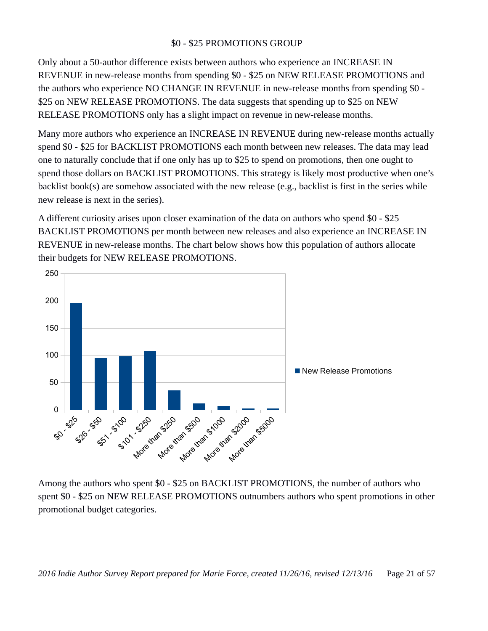#### \$0 - \$25 PROMOTIONS GROUP

Only about a 50-author difference exists between authors who experience an INCREASE IN REVENUE in new-release months from spending \$0 - \$25 on NEW RELEASE PROMOTIONS and the authors who experience NO CHANGE IN REVENUE in new-release months from spending \$0 - \$25 on NEW RELEASE PROMOTIONS. The data suggests that spending up to \$25 on NEW RELEASE PROMOTIONS only has a slight impact on revenue in new-release months.

Many more authors who experience an INCREASE IN REVENUE during new-release months actually spend \$0 - \$25 for BACKLIST PROMOTIONS each month between new releases. The data may lead one to naturally conclude that if one only has up to \$25 to spend on promotions, then one ought to spend those dollars on BACKLIST PROMOTIONS. This strategy is likely most productive when one's backlist book(s) are somehow associated with the new release (e.g., backlist is first in the series while new release is next in the series).

A different curiosity arises upon closer examination of the data on authors who spend \$0 - \$25 BACKLIST PROMOTIONS per month between new releases and also experience an INCREASE IN REVENUE in new-release months. The chart below shows how this population of authors allocate their budgets for NEW RELEASE PROMOTIONS.



Among the authors who spent \$0 - \$25 on BACKLIST PROMOTIONS, the number of authors who spent \$0 - \$25 on NEW RELEASE PROMOTIONS outnumbers authors who spent promotions in other promotional budget categories.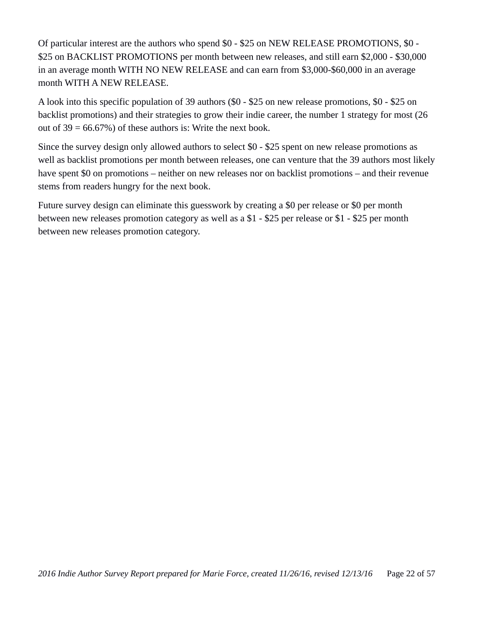Of particular interest are the authors who spend \$0 - \$25 on NEW RELEASE PROMOTIONS, \$0 - \$25 on BACKLIST PROMOTIONS per month between new releases, and still earn \$2,000 - \$30,000 in an average month WITH NO NEW RELEASE and can earn from \$3,000-\$60,000 in an average month WITH A NEW RELEASE.

A look into this specific population of 39 authors (\$0 - \$25 on new release promotions, \$0 - \$25 on backlist promotions) and their strategies to grow their indie career, the number 1 strategy for most (26 out of  $39 = 66.67\%$ ) of these authors is: Write the next book.

Since the survey design only allowed authors to select \$0 - \$25 spent on new release promotions as well as backlist promotions per month between releases, one can venture that the 39 authors most likely have spent \$0 on promotions – neither on new releases nor on backlist promotions – and their revenue stems from readers hungry for the next book.

Future survey design can eliminate this guesswork by creating a \$0 per release or \$0 per month between new releases promotion category as well as a \$1 - \$25 per release or \$1 - \$25 per month between new releases promotion category.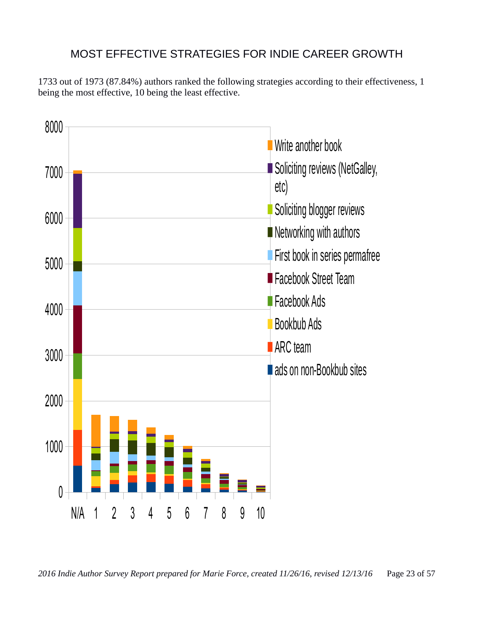# MOST EFFECTIVE STRATEGIES FOR INDIE CAREER GROWTH

1733 out of 1973 (87.84%) authors ranked the following strategies according to their effectiveness, 1 being the most effective, 10 being the least effective.



*<sup>2016</sup> Indie Author Survey Report prepared for Marie Force, created 11/26/16, revised 12/13/16* Page 23 of 57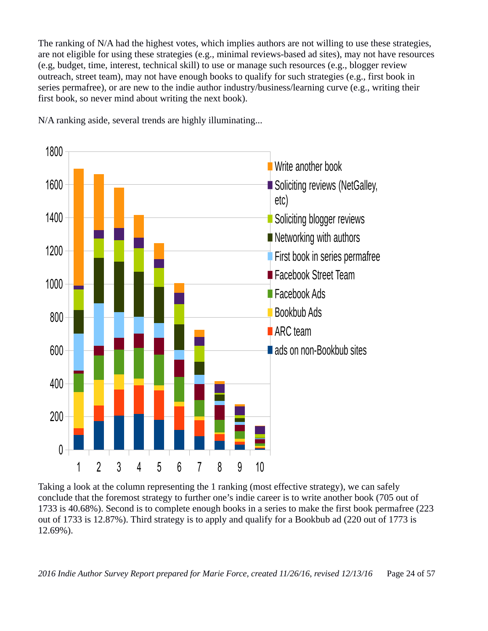The ranking of N/A had the highest votes, which implies authors are not willing to use these strategies, are not eligible for using these strategies (e.g., minimal reviews-based ad sites), may not have resources (e.g, budget, time, interest, technical skill) to use or manage such resources (e.g., blogger review outreach, street team), may not have enough books to qualify for such strategies (e.g., first book in series permafree), or are new to the indie author industry/business/learning curve (e.g., writing their first book, so never mind about writing the next book).



N/A ranking aside, several trends are highly illuminating...

Taking a look at the column representing the 1 ranking (most effective strategy), we can safely conclude that the foremost strategy to further one's indie career is to write another book (705 out of 1733 is 40.68%). Second is to complete enough books in a series to make the first book permafree (223 out of 1733 is 12.87%). Third strategy is to apply and qualify for a Bookbub ad (220 out of 1773 is 12.69%).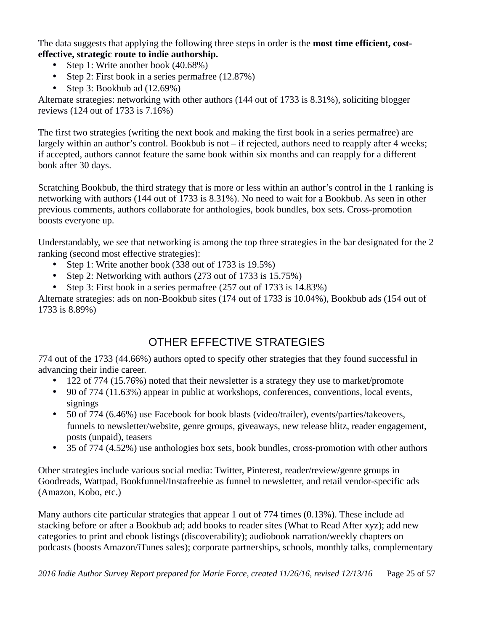The data suggests that applying the following three steps in order is the **most time efficient, costeffective, strategic route to indie authorship.**

- Step 1: Write another book (40.68%)
- Step 2: First book in a series permafree (12.87%)
- Step 3: Bookbub ad (12.69%)

Alternate strategies: networking with other authors (144 out of 1733 is 8.31%), soliciting blogger reviews (124 out of 1733 is 7.16%)

The first two strategies (writing the next book and making the first book in a series permafree) are largely within an author's control. Bookbub is not – if rejected, authors need to reapply after 4 weeks; if accepted, authors cannot feature the same book within six months and can reapply for a different book after 30 days.

Scratching Bookbub, the third strategy that is more or less within an author's control in the 1 ranking is networking with authors (144 out of 1733 is 8.31%). No need to wait for a Bookbub. As seen in other previous comments, authors collaborate for anthologies, book bundles, box sets. Cross-promotion boosts everyone up.

Understandably, we see that networking is among the top three strategies in the bar designated for the 2 ranking (second most effective strategies):

- Step 1: Write another book (338 out of 1733 is 19.5%)
- Step 2: Networking with authors (273 out of 1733 is 15.75%)
- Step 3: First book in a series permafree (257 out of 1733 is 14.83%)

Alternate strategies: ads on non-Bookbub sites (174 out of 1733 is 10.04%), Bookbub ads (154 out of 1733 is 8.89%)

# OTHER EFFECTIVE STRATEGIES

774 out of the 1733 (44.66%) authors opted to specify other strategies that they found successful in advancing their indie career.

- 122 of 774 (15.76%) noted that their newsletter is a strategy they use to market/promote
- 90 of 774 (11.63%) appear in public at workshops, conferences, conventions, local events, signings
- 50 of 774 (6.46%) use Facebook for book blasts (video/trailer), events/parties/takeovers, funnels to newsletter/website, genre groups, giveaways, new release blitz, reader engagement, posts (unpaid), teasers
- 35 of 774 (4.52%) use anthologies box sets, book bundles, cross-promotion with other authors

Other strategies include various social media: Twitter, Pinterest, reader/review/genre groups in Goodreads, Wattpad, Bookfunnel/Instafreebie as funnel to newsletter, and retail vendor-specific ads (Amazon, Kobo, etc.)

Many authors cite particular strategies that appear 1 out of 774 times (0.13%). These include ad stacking before or after a Bookbub ad; add books to reader sites (What to Read After xyz); add new categories to print and ebook listings (discoverability); audiobook narration/weekly chapters on podcasts (boosts Amazon/iTunes sales); corporate partnerships, schools, monthly talks, complementary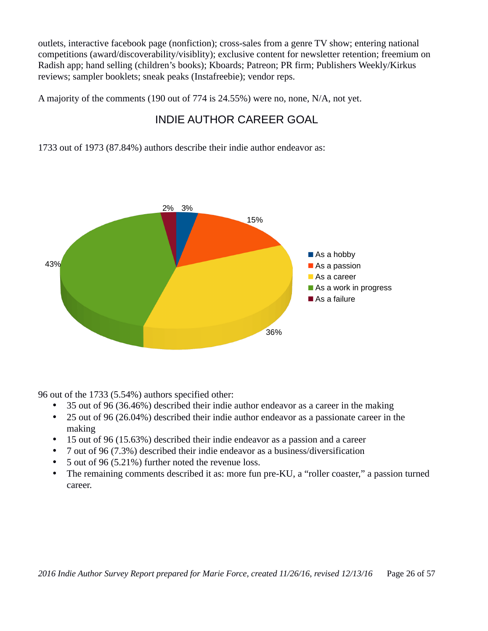outlets, interactive facebook page (nonfiction); cross-sales from a genre TV show; entering national competitions (award/discoverability/visiblity); exclusive content for newsletter retention; freemium on Radish app; hand selling (children's books); Kboards; Patreon; PR firm; Publishers Weekly/Kirkus reviews; sampler booklets; sneak peaks (Instafreebie); vendor reps.

A majority of the comments (190 out of 774 is 24.55%) were no, none, N/A, not yet.

# INDIE AUTHOR CAREER GOAL

1733 out of 1973 (87.84%) authors describe their indie author endeavor as:



96 out of the 1733 (5.54%) authors specified other:

- 35 out of 96 (36.46%) described their indie author endeavor as a career in the making
- 25 out of 96 (26.04%) described their indie author endeavor as a passionate career in the making
- 15 out of 96 (15.63%) described their indie endeavor as a passion and a career
- 7 out of 96 (7.3%) described their indie endeavor as a business/diversification
- 5 out of 96 (5.21%) further noted the revenue loss.
- The remaining comments described it as: more fun pre-KU, a "roller coaster," a passion turned career.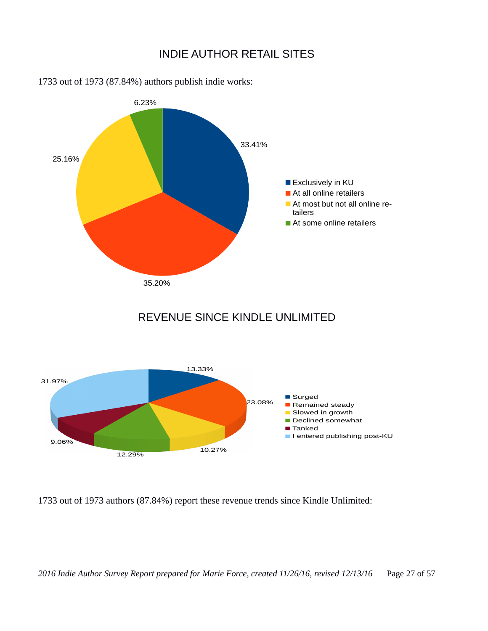#### INDIE AUTHOR RETAIL SITES



1733 out of 1973 (87.84%) authors publish indie works:

## REVENUE SINCE KINDLE UNLIMITED



1733 out of 1973 authors (87.84%) report these revenue trends since Kindle Unlimited: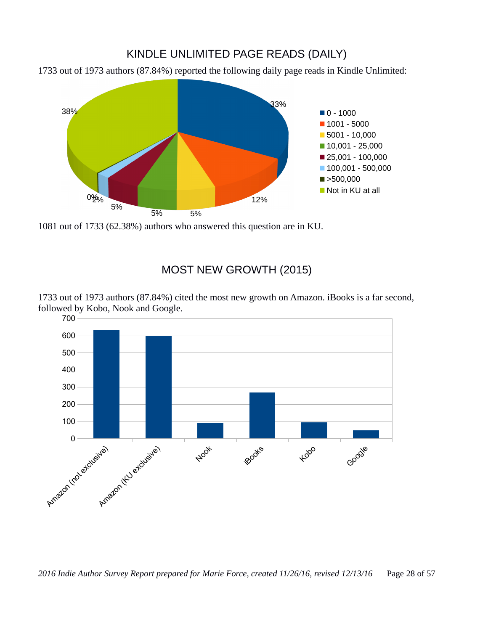### KINDLE UNLIMITED PAGE READS (DAILY)

1733 out of 1973 authors (87.84%) reported the following daily page reads in Kindle Unlimited:



1081 out of 1733 (62.38%) authors who answered this question are in KU.

#### MOST NEW GROWTH (2015)

1733 out of 1973 authors (87.84%) cited the most new growth on Amazon. iBooks is a far second, followed by Kobo, Nook and Google.

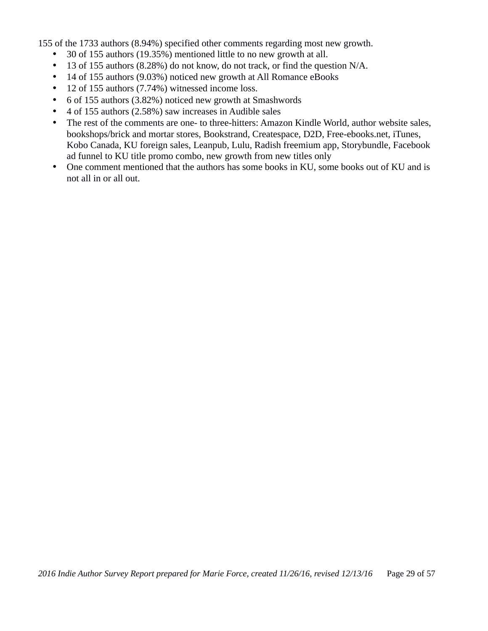155 of the 1733 authors (8.94%) specified other comments regarding most new growth.

- 30 of 155 authors (19.35%) mentioned little to no new growth at all.
- 13 of 155 authors (8.28%) do not know, do not track, or find the question N/A.
- 14 of 155 authors (9.03%) noticed new growth at All Romance eBooks
- 12 of 155 authors (7.74%) witnessed income loss.
- 6 of 155 authors (3.82%) noticed new growth at Smashwords
- 4 of 155 authors (2.58%) saw increases in Audible sales
- The rest of the comments are one- to three-hitters: Amazon Kindle World, author website sales, bookshops/brick and mortar stores, Bookstrand, Createspace, D2D, Free-ebooks.net, iTunes, Kobo Canada, KU foreign sales, Leanpub, Lulu, Radish freemium app, Storybundle, Facebook ad funnel to KU title promo combo, new growth from new titles only
- One comment mentioned that the authors has some books in KU, some books out of KU and is not all in or all out.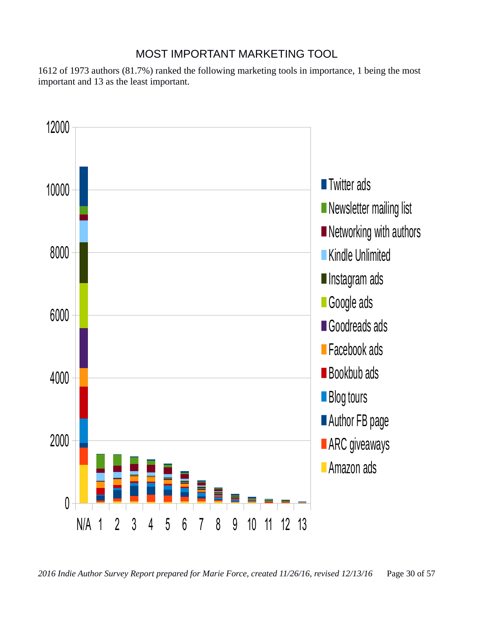### MOST IMPORTANT MARKETING TOOL

1612 of 1973 authors (81.7%) ranked the following marketing tools in importance, 1 being the most important and 13 as the least important.

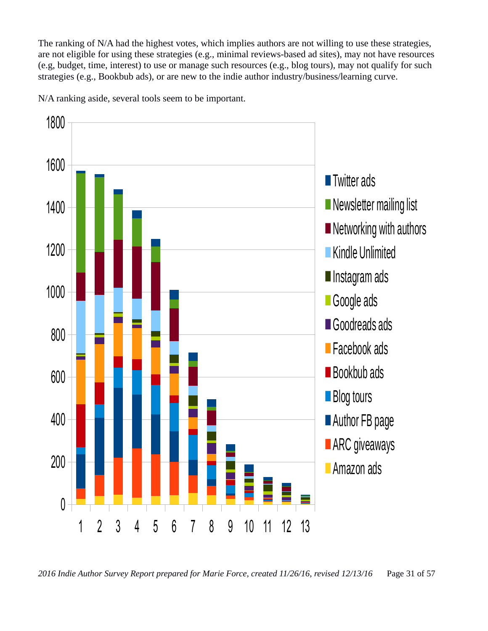The ranking of N/A had the highest votes, which implies authors are not willing to use these strategies, are not eligible for using these strategies (e.g., minimal reviews-based ad sites), may not have resources (e.g, budget, time, interest) to use or manage such resources (e.g., blog tours), may not qualify for such strategies (e.g., Bookbub ads), or are new to the indie author industry/business/learning curve.

N/A ranking aside, several tools seem to be important.

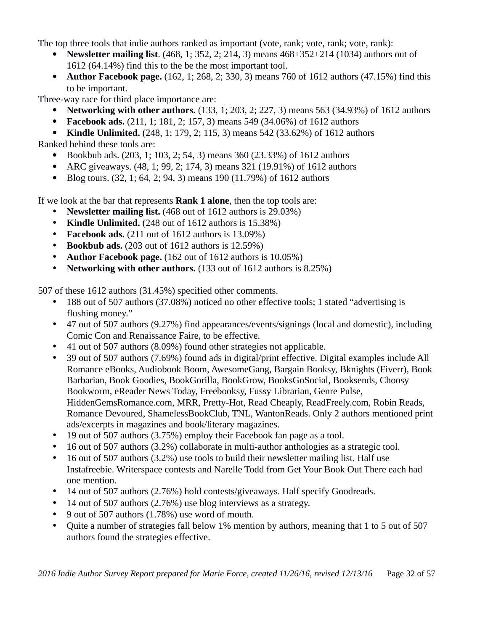The top three tools that indie authors ranked as important (vote, rank; vote, rank; vote, rank):

- **Newsletter mailing list**. (468, 1; 352, 2; 214, 3) means 468+352+214 (1034) authors out of 1612 (64.14%) find this to the be the most important tool.
- **Author Facebook page.** (162, 1; 268, 2; 330, 3) means 760 of 1612 authors (47.15%) find this to be important.

Three-way race for third place importance are:

- **Networking with other authors.** (133, 1; 203, 2; 227, 3) means 563 (34.93%) of 1612 authors
- **Facebook ads.** (211, 1; 181, 2; 157, 3) means 549 (34.06%) of 1612 authors
- **Kindle Unlimited.** (248, 1; 179, 2; 115, 3) means 542 (33.62%) of 1612 authors Ranked behind these tools are:
	- Bookbub ads. (203, 1; 103, 2; 54, 3) means 360 (23.33%) of 1612 authors
	- ARC giveaways. (48, 1; 99, 2; 174, 3) means 321 (19.91%) of 1612 authors
	- Blog tours. (32, 1; 64, 2; 94, 3) means 190 (11.79%) of 1612 authors

If we look at the bar that represents **Rank 1 alone**, then the top tools are:

- **Newsletter mailing list.** (468 out of 1612 authors is 29.03%)
- **Kindle Unlimited.** (248 out of 1612 authors is 15.38%)
- **Facebook ads.** (211 out of 1612 authors is 13.09%)
- **Bookbub ads.** (203 out of 1612 authors is 12.59%)
- **Author Facebook page.** (162 out of 1612 authors is 10.05%)
- **Networking with other authors.** (133 out of 1612 authors is 8.25%)

507 of these 1612 authors (31.45%) specified other comments.

- 188 out of 507 authors (37.08%) noticed no other effective tools; 1 stated "advertising is flushing money."
- 47 out of 507 authors (9.27%) find appearances/events/signings (local and domestic), including Comic Con and Renaissance Faire, to be effective.
- 41 out of 507 authors (8.09%) found other strategies not applicable.
- 39 out of 507 authors (7.69%) found ads in digital/print effective. Digital examples include All Romance eBooks, Audiobook Boom, AwesomeGang, Bargain Booksy, Bknights (Fiverr), Book Barbarian, Book Goodies, BookGorilla, BookGrow, BooksGoSocial, Booksends, Choosy Bookworm, eReader News Today, Freebooksy, Fussy Librarian, Genre Pulse, HiddenGemsRomance.com, MRR, Pretty-Hot, Read Cheaply, ReadFreely.com, Robin Reads, Romance Devoured, ShamelessBookClub, TNL, WantonReads. Only 2 authors mentioned print ads/excerpts in magazines and book/literary magazines.
- 19 out of 507 authors (3.75%) employ their Facebook fan page as a tool.
- 16 out of 507 authors (3.2%) collaborate in multi-author anthologies as a strategic tool.
- 16 out of 507 authors (3.2%) use tools to build their newsletter mailing list. Half use Instafreebie. Writerspace contests and Narelle Todd from Get Your Book Out There each had one mention.
- 14 out of 507 authors (2.76%) hold contests/giveaways. Half specify Goodreads.
- 14 out of 507 authors (2.76%) use blog interviews as a strategy.
- 9 out of 507 authors (1.78%) use word of mouth.
- Quite a number of strategies fall below 1% mention by authors, meaning that 1 to 5 out of 507 authors found the strategies effective.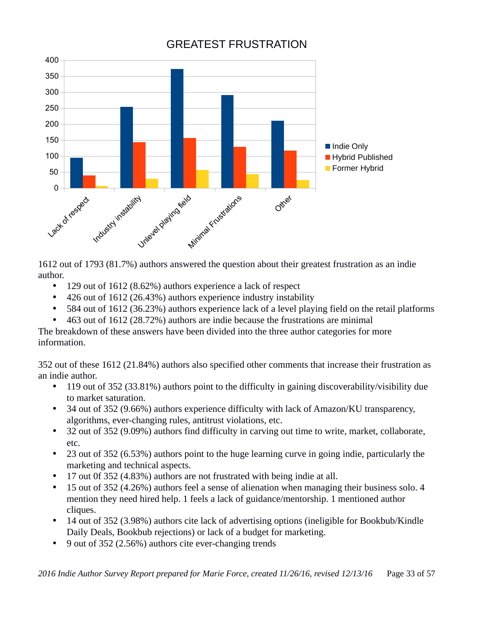

# GREATEST FRUSTRATION

1612 out of 1793 (81.7%) authors answered the question about their greatest frustration as an indie author.

- 129 out of 1612 (8.62%) authors experience a lack of respect
- 426 out of 1612 (26.43%) authors experience industry instability
- 584 out of 1612 (36.23%) authors experience lack of a level playing field on the retail platforms
- 463 out of 1612 (28.72%) authors are indie because the frustrations are minimal

The breakdown of these answers have been divided into the three author categories for more information.

352 out of these 1612 (21.84%) authors also specified other comments that increase their frustration as an indie author.

- 119 out of 352 (33.81%) authors point to the difficulty in gaining discoverability/visibility due to market saturation.
- 34 out of 352 (9.66%) authors experience difficulty with lack of Amazon/KU transparency, algorithms, ever-changing rules, antitrust violations, etc.
- 32 out of 352 (9.09%) authors find difficulty in carving out time to write, market, collaborate, etc.
- 23 out of 352 (6.53%) authors point to the huge learning curve in going indie, particularly the marketing and technical aspects.
- 17 out 0f 352 (4.83%) authors are not frustrated with being indie at all.
- 15 out of 352 (4.26%) authors feel a sense of alienation when managing their business solo. 4 mention they need hired help. 1 feels a lack of guidance/mentorship. 1 mentioned author cliques.
- 14 out of 352 (3.98%) authors cite lack of advertising options (ineligible for Bookbub/Kindle Daily Deals, Bookbub rejections) or lack of a budget for marketing.
- 9 out of 352 (2.56%) authors cite ever-changing trends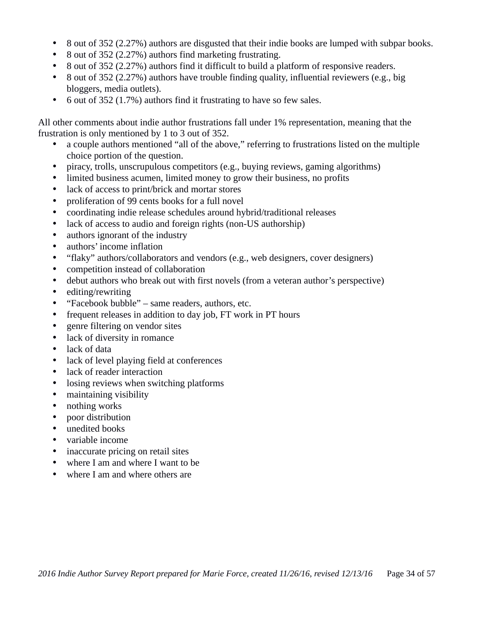- 8 out of 352 (2.27%) authors are disgusted that their indie books are lumped with subpar books.
- 8 out of 352 (2.27%) authors find marketing frustrating.
- 8 out of 352 (2.27%) authors find it difficult to build a platform of responsive readers.
- 8 out of 352 (2.27%) authors have trouble finding quality, influential reviewers (e.g., big bloggers, media outlets).
- 6 out of 352 (1.7%) authors find it frustrating to have so few sales.

All other comments about indie author frustrations fall under 1% representation, meaning that the frustration is only mentioned by 1 to 3 out of 352.

- a couple authors mentioned "all of the above," referring to frustrations listed on the multiple choice portion of the question.
- piracy, trolls, unscrupulous competitors (e.g., buying reviews, gaming algorithms)
- limited business acumen, limited money to grow their business, no profits
- lack of access to print/brick and mortar stores
- proliferation of 99 cents books for a full novel
- coordinating indie release schedules around hybrid/traditional releases
- lack of access to audio and foreign rights (non-US authorship)
- authors ignorant of the industry
- authors' income inflation
- "flaky" authors/collaborators and vendors (e.g., web designers, cover designers)
- competition instead of collaboration
- debut authors who break out with first novels (from a veteran author's perspective)
- editing/rewriting
- "Facebook bubble" same readers, authors, etc.
- frequent releases in addition to day job, FT work in PT hours
- genre filtering on vendor sites
- lack of diversity in romance
- lack of data
- lack of level playing field at conferences
- lack of reader interaction
- losing reviews when switching platforms
- maintaining visibility
- nothing works
- poor distribution
- unedited books
- variable income
- inaccurate pricing on retail sites
- where I am and where I want to be
- where I am and where others are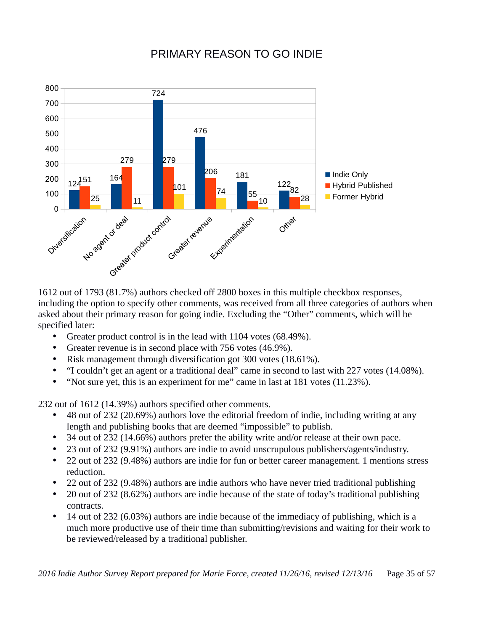# PRIMARY REASON TO GO INDIE



1612 out of 1793 (81.7%) authors checked off 2800 boxes in this multiple checkbox responses, including the option to specify other comments, was received from all three categories of authors when asked about their primary reason for going indie. Excluding the "Other" comments, which will be specified later:

- Greater product control is in the lead with 1104 votes (68.49%).
- Greater revenue is in second place with 756 votes (46.9%).
- Risk management through diversification got 300 votes (18.61%).
- "I couldn't get an agent or a traditional deal" came in second to last with 227 votes (14.08%).
- "Not sure yet, this is an experiment for me" came in last at 181 votes (11.23%).

232 out of 1612 (14.39%) authors specified other comments.

- 48 out of 232 (20.69%) authors love the editorial freedom of indie, including writing at any length and publishing books that are deemed "impossible" to publish.
- 34 out of 232 (14.66%) authors prefer the ability write and/or release at their own pace.
- 23 out of 232 (9.91%) authors are indie to avoid unscrupulous publishers/agents/industry.
- 22 out of 232 (9.48%) authors are indie for fun or better career management. 1 mentions stress reduction.
- 22 out of 232 (9.48%) authors are indie authors who have never tried traditional publishing
- 20 out of 232 (8.62%) authors are indie because of the state of today's traditional publishing contracts.
- 14 out of 232 (6.03%) authors are indie because of the immediacy of publishing, which is a much more productive use of their time than submitting/revisions and waiting for their work to be reviewed/released by a traditional publisher.

*2016 Indie Author Survey Report prepared for Marie Force, created 11/26/16, revised 12/13/16* Page 35 of 57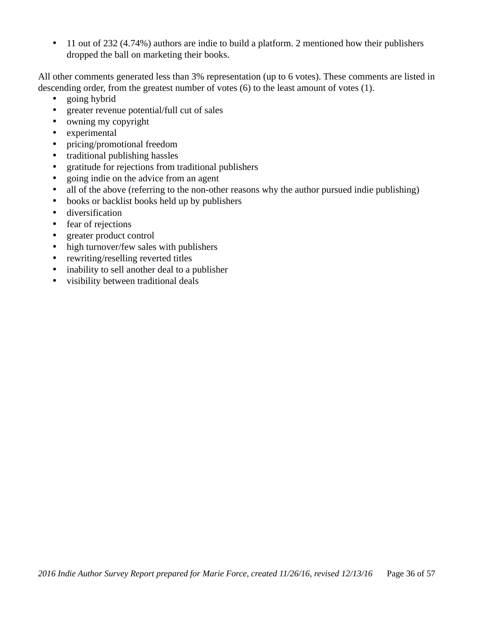• 11 out of 232 (4.74%) authors are indie to build a platform. 2 mentioned how their publishers dropped the ball on marketing their books.

All other comments generated less than 3% representation (up to 6 votes). These comments are listed in descending order, from the greatest number of votes (6) to the least amount of votes (1).

- going hybrid
- greater revenue potential/full cut of sales
- owning my copyright
- experimental
- pricing/promotional freedom
- traditional publishing hassles
- gratitude for rejections from traditional publishers
- going indie on the advice from an agent
- all of the above (referring to the non-other reasons why the author pursued indie publishing)
- books or backlist books held up by publishers
- diversification
- fear of rejections
- greater product control
- high turnover/few sales with publishers
- rewriting/reselling reverted titles
- inability to sell another deal to a publisher
- visibility between traditional deals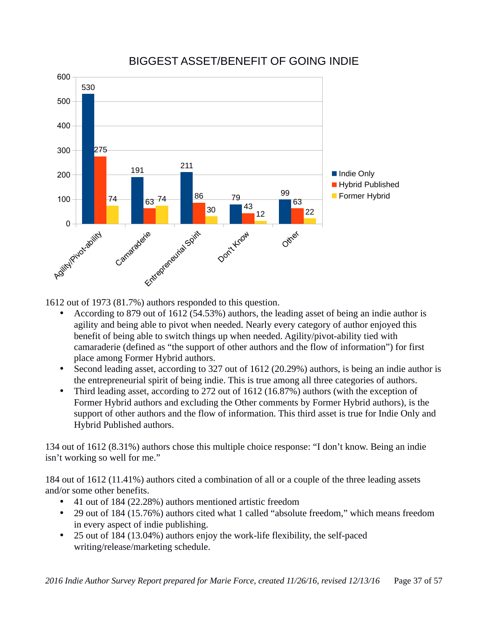

# BIGGEST ASSET/BENEFIT OF GOING INDIE

1612 out of 1973 (81.7%) authors responded to this question.

- According to 879 out of 1612 (54.53%) authors, the leading asset of being an indie author is agility and being able to pivot when needed. Nearly every category of author enjoyed this benefit of being able to switch things up when needed. Agility/pivot-ability tied with camaraderie (defined as "the support of other authors and the flow of information") for first place among Former Hybrid authors.
- Second leading asset, according to 327 out of 1612 (20.29%) authors, is being an indie author is the entrepreneurial spirit of being indie. This is true among all three categories of authors.
- Third leading asset, according to 272 out of 1612 (16.87%) authors (with the exception of Former Hybrid authors and excluding the Other comments by Former Hybrid authors), is the support of other authors and the flow of information. This third asset is true for Indie Only and Hybrid Published authors.

134 out of 1612 (8.31%) authors chose this multiple choice response: "I don't know. Being an indie isn't working so well for me."

184 out of 1612 (11.41%) authors cited a combination of all or a couple of the three leading assets and/or some other benefits.

- 41 out of 184 (22.28%) authors mentioned artistic freedom
- 29 out of 184 (15.76%) authors cited what 1 called "absolute freedom," which means freedom in every aspect of indie publishing.
- 25 out of 184 (13.04%) authors enjoy the work-life flexibility, the self-paced writing/release/marketing schedule.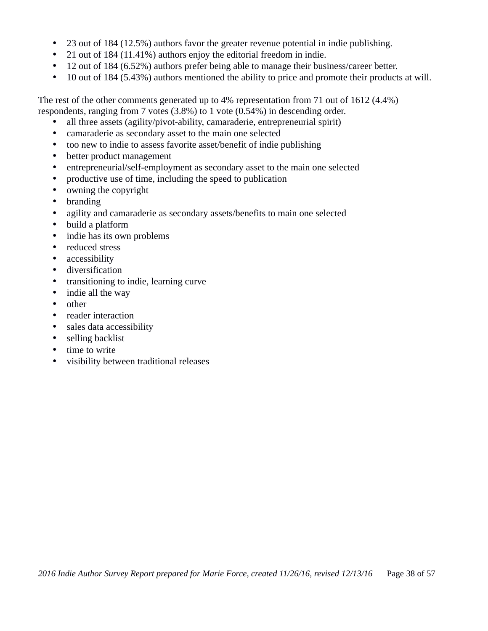- 23 out of 184 (12.5%) authors favor the greater revenue potential in indie publishing.
- 21 out of 184 (11.41%) authors enjoy the editorial freedom in indie.
- 12 out of 184 (6.52%) authors prefer being able to manage their business/career better.
- 10 out of 184 (5.43%) authors mentioned the ability to price and promote their products at will.

The rest of the other comments generated up to 4% representation from 71 out of 1612 (4.4%) respondents, ranging from 7 votes (3.8%) to 1 vote (0.54%) in descending order.

- all three assets (agility/pivot-ability, camaraderie, entrepreneurial spirit)
- camaraderie as secondary asset to the main one selected
- too new to indie to assess favorite asset/benefit of indie publishing
- better product management
- entrepreneurial/self-employment as secondary asset to the main one selected
- productive use of time, including the speed to publication
- owning the copyright
- branding
- agility and camaraderie as secondary assets/benefits to main one selected
- build a platform
- indie has its own problems
- reduced stress
- accessibility
- diversification
- transitioning to indie, learning curve
- indie all the way
- other
- reader interaction
- sales data accessibility
- selling backlist
- time to write
- visibility between traditional releases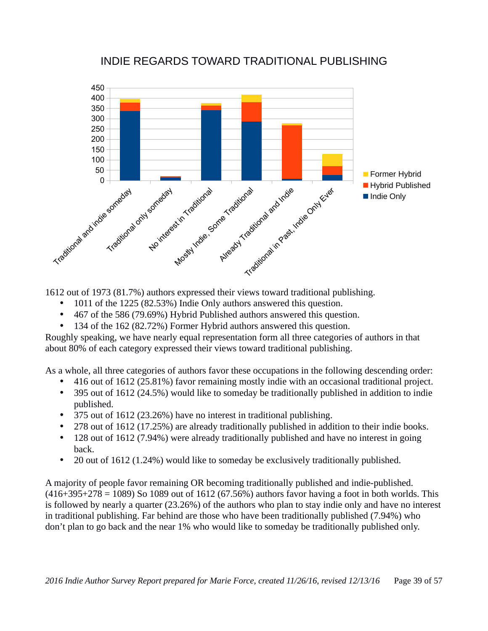

### INDIE REGARDS TOWARD TRADITIONAL PUBLISHING

1612 out of 1973 (81.7%) authors expressed their views toward traditional publishing.

- 1011 of the 1225 (82.53%) Indie Only authors answered this question.
- 467 of the 586 (79.69%) Hybrid Published authors answered this question.
- 134 of the 162 (82.72%) Former Hybrid authors answered this question.

Roughly speaking, we have nearly equal representation form all three categories of authors in that about 80% of each category expressed their views toward traditional publishing.

As a whole, all three categories of authors favor these occupations in the following descending order:

- 416 out of 1612 (25.81%) favor remaining mostly indie with an occasional traditional project.
- 395 out of 1612 (24.5%) would like to someday be traditionally published in addition to indie published.
- 375 out of 1612 (23.26%) have no interest in traditional publishing.
- 278 out of 1612 (17.25%) are already traditionally published in addition to their indie books.
- 128 out of 1612 (7.94%) were already traditionally published and have no interest in going back.
- 20 out of 1612 (1.24%) would like to someday be exclusively traditionally published.

A majority of people favor remaining OR becoming traditionally published and indie-published.  $(416+395+278 = 1089)$  So 1089 out of 1612 (67.56%) authors favor having a foot in both worlds. This is followed by nearly a quarter (23.26%) of the authors who plan to stay indie only and have no interest in traditional publishing. Far behind are those who have been traditionally published (7.94%) who don't plan to go back and the near 1% who would like to someday be traditionally published only.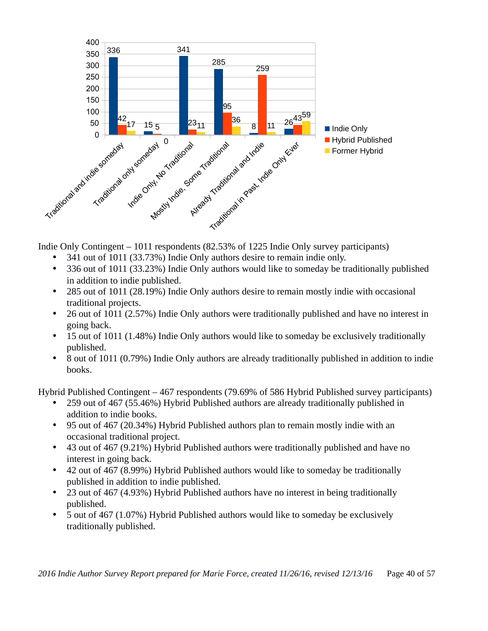

Indie Only Contingent – 1011 respondents (82.53% of 1225 Indie Only survey participants)

- 341 out of 1011 (33.73%) Indie Only authors desire to remain indie only.
- 336 out of 1011 (33.23%) Indie Only authors would like to someday be traditionally published in addition to indie published.
- 285 out of 1011 (28.19%) Indie Only authors desire to remain mostly indie with occasional traditional projects.
- 26 out of 1011 (2.57%) Indie Only authors were traditionally published and have no interest in going back.
- 15 out of 1011 (1.48%) Indie Only authors would like to someday be exclusively traditionally published.
- 8 out of 1011 (0.79%) Indie Only authors are already traditionally published in addition to indie books.

Hybrid Published Contingent – 467 respondents (79.69% of 586 Hybrid Published survey participants)

- 259 out of 467 (55.46%) Hybrid Published authors are already traditionally published in addition to indie books.
- 95 out of 467 (20.34%) Hybrid Published authors plan to remain mostly indie with an occasional traditional project.
- 43 out of 467 (9.21%) Hybrid Published authors were traditionally published and have no interest in going back.
- 42 out of 467 (8.99%) Hybrid Published authors would like to someday be traditionally published in addition to indie published.
- 23 out of 467 (4.93%) Hybrid Published authors have no interest in being traditionally published.
- 5 out of 467 (1.07%) Hybrid Published authors would like to someday be exclusively traditionally published.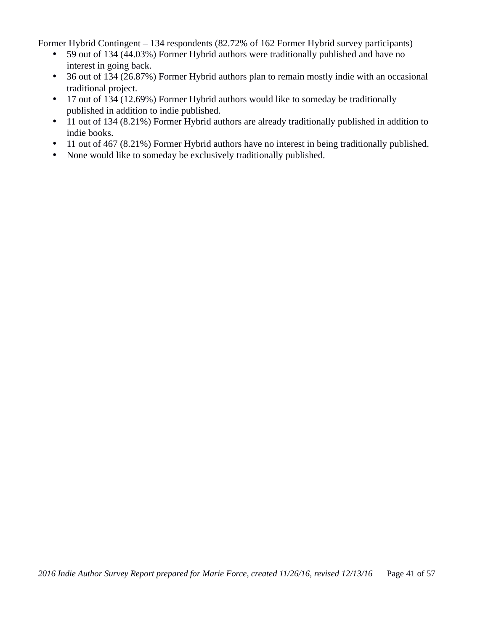Former Hybrid Contingent – 134 respondents (82.72% of 162 Former Hybrid survey participants)

- 59 out of 134 (44.03%) Former Hybrid authors were traditionally published and have no interest in going back.
- 36 out of 134 (26.87%) Former Hybrid authors plan to remain mostly indie with an occasional traditional project.
- 17 out of 134 (12.69%) Former Hybrid authors would like to someday be traditionally published in addition to indie published.
- 11 out of 134 (8.21%) Former Hybrid authors are already traditionally published in addition to indie books.
- 11 out of 467 (8.21%) Former Hybrid authors have no interest in being traditionally published.
- None would like to someday be exclusively traditionally published.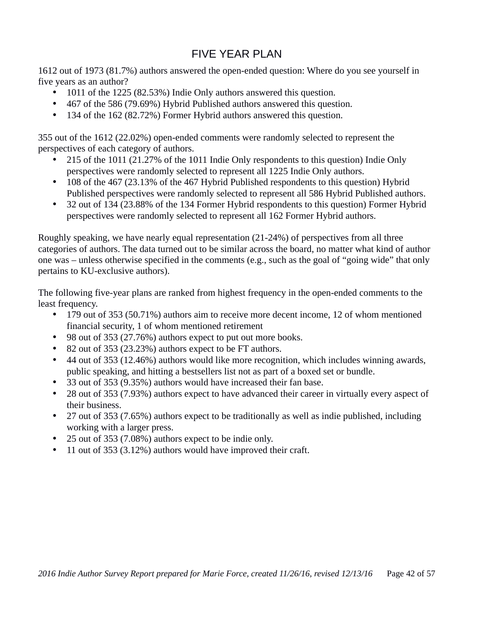# FIVE YEAR PLAN

1612 out of 1973 (81.7%) authors answered the open-ended question: Where do you see yourself in five years as an author?

- 1011 of the 1225 (82.53%) Indie Only authors answered this question.
- 467 of the 586 (79.69%) Hybrid Published authors answered this question.
- 134 of the 162 (82.72%) Former Hybrid authors answered this question.

355 out of the 1612 (22.02%) open-ended comments were randomly selected to represent the perspectives of each category of authors.

- 215 of the 1011 (21.27% of the 1011 Indie Only respondents to this question) Indie Only perspectives were randomly selected to represent all 1225 Indie Only authors.
- 108 of the 467 (23.13% of the 467 Hybrid Published respondents to this question) Hybrid Published perspectives were randomly selected to represent all 586 Hybrid Published authors.
- 32 out of 134 (23.88% of the 134 Former Hybrid respondents to this question) Former Hybrid perspectives were randomly selected to represent all 162 Former Hybrid authors.

Roughly speaking, we have nearly equal representation (21-24%) of perspectives from all three categories of authors. The data turned out to be similar across the board, no matter what kind of author one was – unless otherwise specified in the comments (e.g., such as the goal of "going wide" that only pertains to KU-exclusive authors).

The following five-year plans are ranked from highest frequency in the open-ended comments to the least frequency.

- 179 out of 353 (50.71%) authors aim to receive more decent income, 12 of whom mentioned financial security, 1 of whom mentioned retirement
- 98 out of 353 (27.76%) authors expect to put out more books.
- 82 out of 353 (23.23%) authors expect to be FT authors.
- 44 out of 353 (12.46%) authors would like more recognition, which includes winning awards, public speaking, and hitting a bestsellers list not as part of a boxed set or bundle.
- 33 out of 353 (9.35%) authors would have increased their fan base.
- 28 out of 353 (7.93%) authors expect to have advanced their career in virtually every aspect of their business.
- 27 out of 353 (7.65%) authors expect to be traditionally as well as indie published, including working with a larger press.
- 25 out of 353 (7.08%) authors expect to be indie only.
- 11 out of 353 (3.12%) authors would have improved their craft.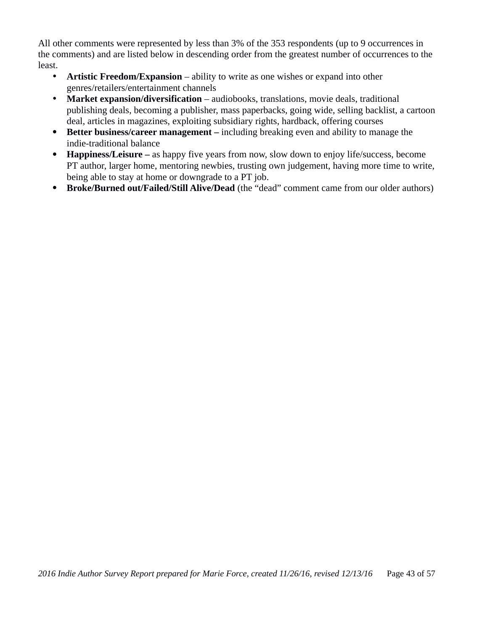All other comments were represented by less than 3% of the 353 respondents (up to 9 occurrences in the comments) and are listed below in descending order from the greatest number of occurrences to the least.

- **Artistic Freedom/Expansion** ability to write as one wishes or expand into other genres/retailers/entertainment channels
- Market expansion/diversification audiobooks, translations, movie deals, traditional publishing deals, becoming a publisher, mass paperbacks, going wide, selling backlist, a cartoon deal, articles in magazines, exploiting subsidiary rights, hardback, offering courses
- **Better business/career management –** including breaking even and ability to manage the indie-traditional balance
- **Happiness/Leisure –** as happy five years from now, slow down to enjoy life/success, become PT author, larger home, mentoring newbies, trusting own judgement, having more time to write, being able to stay at home or downgrade to a PT job.
- **Broke/Burned out/Failed/Still Alive/Dead** (the "dead" comment came from our older authors)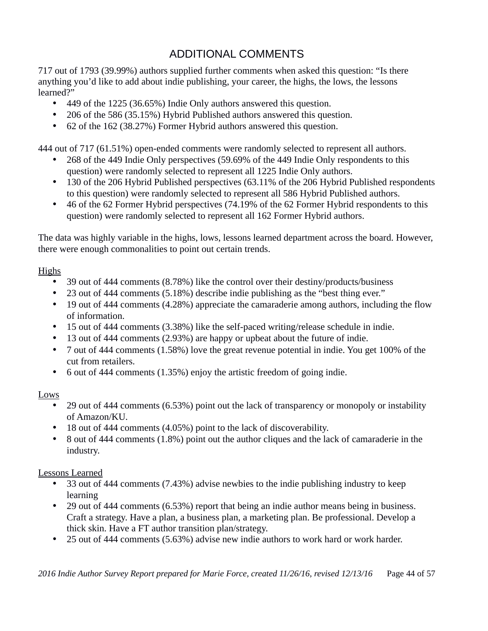# ADDITIONAL COMMENTS

717 out of 1793 (39.99%) authors supplied further comments when asked this question: "Is there anything you'd like to add about indie publishing, your career, the highs, the lows, the lessons learned?"

- 449 of the 1225 (36.65%) Indie Only authors answered this question.
- 206 of the 586 (35.15%) Hybrid Published authors answered this question.
- 62 of the 162 (38.27%) Former Hybrid authors answered this question.

444 out of 717 (61.51%) open-ended comments were randomly selected to represent all authors.

- 268 of the 449 Indie Only perspectives (59.69% of the 449 Indie Only respondents to this question) were randomly selected to represent all 1225 Indie Only authors.
- 130 of the 206 Hybrid Published perspectives (63.11% of the 206 Hybrid Published respondents to this question) were randomly selected to represent all 586 Hybrid Published authors.
- 46 of the 62 Former Hybrid perspectives (74.19% of the 62 Former Hybrid respondents to this question) were randomly selected to represent all 162 Former Hybrid authors.

The data was highly variable in the highs, lows, lessons learned department across the board. However, there were enough commonalities to point out certain trends.

#### Highs

- 39 out of 444 comments (8.78%) like the control over their destiny/products/business
- 23 out of 444 comments (5.18%) describe indie publishing as the "best thing ever."
- 19 out of 444 comments (4.28%) appreciate the camaraderie among authors, including the flow of information.
- 15 out of 444 comments (3.38%) like the self-paced writing/release schedule in indie.
- 13 out of 444 comments (2.93%) are happy or upbeat about the future of indie.
- 7 out of 444 comments (1.58%) love the great revenue potential in indie. You get 100% of the cut from retailers.
- 6 out of 444 comments (1.35%) enjoy the artistic freedom of going indie.

#### Lows

- 29 out of 444 comments (6.53%) point out the lack of transparency or monopoly or instability of Amazon/KU.
- 18 out of 444 comments (4.05%) point to the lack of discoverability.
- 8 out of 444 comments (1.8%) point out the author cliques and the lack of camaraderie in the industry.

#### Lessons Learned

- 33 out of 444 comments (7.43%) advise newbies to the indie publishing industry to keep learning
- 29 out of 444 comments (6.53%) report that being an indie author means being in business. Craft a strategy. Have a plan, a business plan, a marketing plan. Be professional. Develop a thick skin. Have a FT author transition plan/strategy.
- 25 out of 444 comments (5.63%) advise new indie authors to work hard or work harder.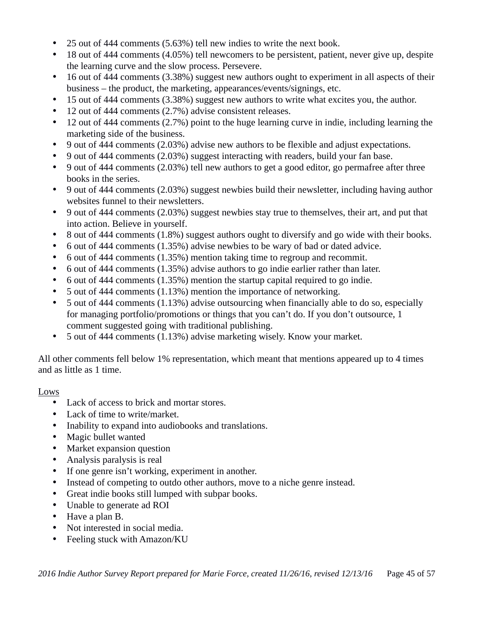- 25 out of 444 comments (5.63%) tell new indies to write the next book.
- 18 out of 444 comments (4.05%) tell newcomers to be persistent, patient, never give up, despite the learning curve and the slow process. Persevere.
- 16 out of 444 comments (3.38%) suggest new authors ought to experiment in all aspects of their business – the product, the marketing, appearances/events/signings, etc.
- 15 out of 444 comments (3.38%) suggest new authors to write what excites you, the author.
- 12 out of 444 comments (2.7%) advise consistent releases.
- 12 out of 444 comments (2.7%) point to the huge learning curve in indie, including learning the marketing side of the business.
- 9 out of 444 comments (2.03%) advise new authors to be flexible and adjust expectations.
- 9 out of 444 comments (2.03%) suggest interacting with readers, build your fan base.
- 9 out of 444 comments (2.03%) tell new authors to get a good editor, go permafree after three books in the series.
- 9 out of 444 comments (2.03%) suggest newbies build their newsletter, including having author websites funnel to their newsletters.
- 9 out of 444 comments (2.03%) suggest newbies stay true to themselves, their art, and put that into action. Believe in yourself.
- 8 out of 444 comments (1.8%) suggest authors ought to diversify and go wide with their books.
- 6 out of 444 comments (1.35%) advise newbies to be wary of bad or dated advice.
- 6 out of 444 comments (1.35%) mention taking time to regroup and recommit.
- 6 out of 444 comments (1.35%) advise authors to go indie earlier rather than later.
- 6 out of 444 comments (1.35%) mention the startup capital required to go indie.
- 5 out of 444 comments (1.13%) mention the importance of networking.
- 5 out of 444 comments (1.13%) advise outsourcing when financially able to do so, especially for managing portfolio/promotions or things that you can't do. If you don't outsource, 1 comment suggested going with traditional publishing.
- 5 out of 444 comments (1.13%) advise marketing wisely. Know your market.

All other comments fell below 1% representation, which meant that mentions appeared up to 4 times and as little as 1 time.

#### Lows

- Lack of access to brick and mortar stores.
- Lack of time to write/market.
- Inability to expand into audiobooks and translations.
- Magic bullet wanted
- Market expansion question
- Analysis paralysis is real
- If one genre isn't working, experiment in another.
- Instead of competing to outdo other authors, move to a niche genre instead.
- Great indie books still lumped with subpar books.
- Unable to generate ad ROI
- Have a plan B.
- Not interested in social media.
- Feeling stuck with Amazon/KU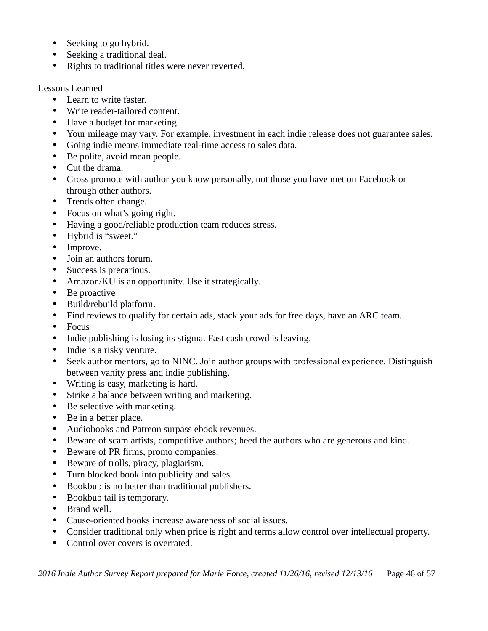- Seeking to go hybrid.
- Seeking a traditional deal.
- Rights to traditional titles were never reverted.

#### Lessons Learned

- Learn to write faster.
- Write reader-tailored content.
- Have a budget for marketing.
- Your mileage may vary. For example, investment in each indie release does not guarantee sales.
- Going indie means immediate real-time access to sales data.
- Be polite, avoid mean people.
- Cut the drama.
- Cross promote with author you know personally, not those you have met on Facebook or through other authors.
- Trends often change.
- Focus on what's going right.
- Having a good/reliable production team reduces stress.
- Hybrid is "sweet."
- Improve.
- Join an authors forum.
- Success is precarious.
- Amazon/KU is an opportunity. Use it strategically.
- Be proactive
- Build/rebuild platform.
- Find reviews to qualify for certain ads, stack your ads for free days, have an ARC team.
- Focus
- Indie publishing is losing its stigma. Fast cash crowd is leaving.
- Indie is a risky venture.
- Seek author mentors, go to NINC. Join author groups with professional experience. Distinguish between vanity press and indie publishing.
- Writing is easy, marketing is hard.
- Strike a balance between writing and marketing.
- Be selective with marketing.
- Be in a better place.
- Audiobooks and Patreon surpass ebook revenues.
- Beware of scam artists, competitive authors; heed the authors who are generous and kind.
- Beware of PR firms, promo companies.
- Beware of trolls, piracy, plagiarism.
- Turn blocked book into publicity and sales.
- Bookbub is no better than traditional publishers.
- Bookbub tail is temporary.
- Brand well.
- Cause-oriented books increase awareness of social issues.
- Consider traditional only when price is right and terms allow control over intellectual property.
- Control over covers is overrated.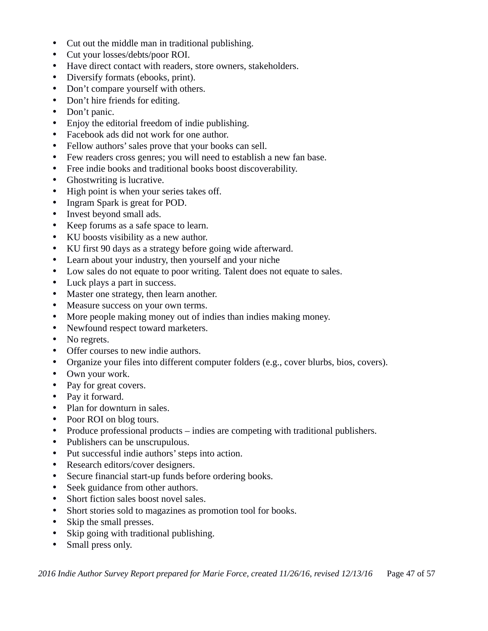- Cut out the middle man in traditional publishing.
- Cut your losses/debts/poor ROI.
- Have direct contact with readers, store owners, stakeholders.
- Diversify formats (ebooks, print).
- Don't compare yourself with others.
- Don't hire friends for editing.
- Don't panic.
- Enjoy the editorial freedom of indie publishing.
- Facebook ads did not work for one author.
- Fellow authors' sales prove that your books can sell.
- Few readers cross genres; you will need to establish a new fan base.
- Free indie books and traditional books boost discoverability.
- Ghostwriting is lucrative.
- High point is when your series takes off.
- Ingram Spark is great for POD.
- Invest beyond small ads.
- Keep forums as a safe space to learn.
- KU boosts visibility as a new author.
- KU first 90 days as a strategy before going wide afterward.
- Learn about your industry, then yourself and your niche
- Low sales do not equate to poor writing. Talent does not equate to sales.
- Luck plays a part in success.
- Master one strategy, then learn another.
- Measure success on your own terms.
- More people making money out of indies than indies making money.
- Newfound respect toward marketers.
- No regrets.
- Offer courses to new indie authors.
- Organize your files into different computer folders (e.g., cover blurbs, bios, covers).
- Own your work.
- Pay for great covers.
- Pay it forward.
- Plan for downturn in sales.
- Poor ROI on blog tours.
- Produce professional products indies are competing with traditional publishers.
- Publishers can be unscrupulous.
- Put successful indie authors' steps into action.
- Research editors/cover designers.
- Secure financial start-up funds before ordering books.
- Seek guidance from other authors.
- Short fiction sales boost novel sales.
- Short stories sold to magazines as promotion tool for books.
- Skip the small presses.
- Skip going with traditional publishing.
- Small press only.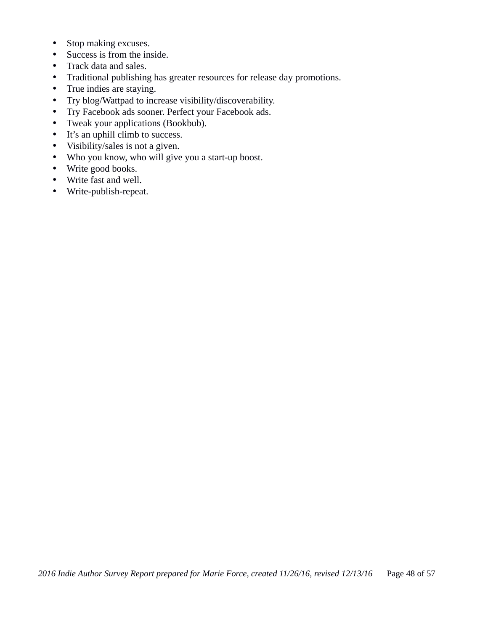- Stop making excuses.
- Success is from the inside.
- Track data and sales.
- Traditional publishing has greater resources for release day promotions.
- True indies are staying.
- Try blog/Wattpad to increase visibility/discoverability.
- Try Facebook ads sooner. Perfect your Facebook ads.<br>• Tweak your applications (Bookbub).
- Tweak your applications (Bookbub).
- It's an uphill climb to success.
- Visibility/sales is not a given.
- Who you know, who will give you a start-up boost.
- Write good books.
- Write fast and well.
- Write-publish-repeat.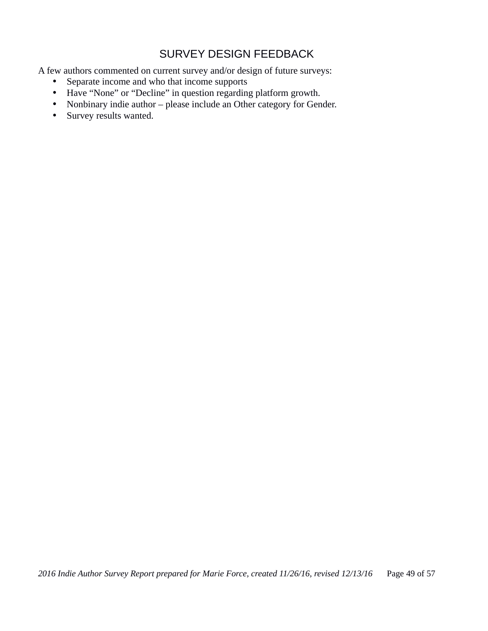# SURVEY DESIGN FEEDBACK

A few authors commented on current survey and/or design of future surveys:

- Separate income and who that income supports
- Have "None" or "Decline" in question regarding platform growth.
- Nonbinary indie author please include an Other category for Gender.
- Survey results wanted.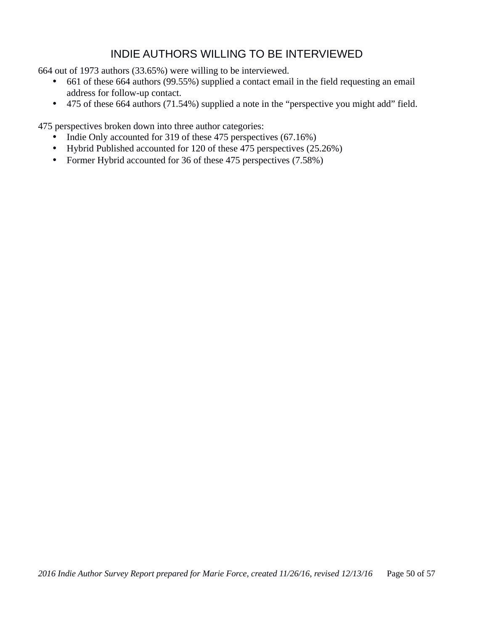## INDIE AUTHORS WILLING TO BE INTERVIEWED

664 out of 1973 authors (33.65%) were willing to be interviewed.

- 661 of these 664 authors (99.55%) supplied a contact email in the field requesting an email address for follow-up contact.
- 475 of these 664 authors (71.54%) supplied a note in the "perspective you might add" field.

475 perspectives broken down into three author categories:

- Indie Only accounted for 319 of these 475 perspectives (67.16%)
- Hybrid Published accounted for 120 of these 475 perspectives (25.26%)
- Former Hybrid accounted for 36 of these 475 perspectives (7.58%)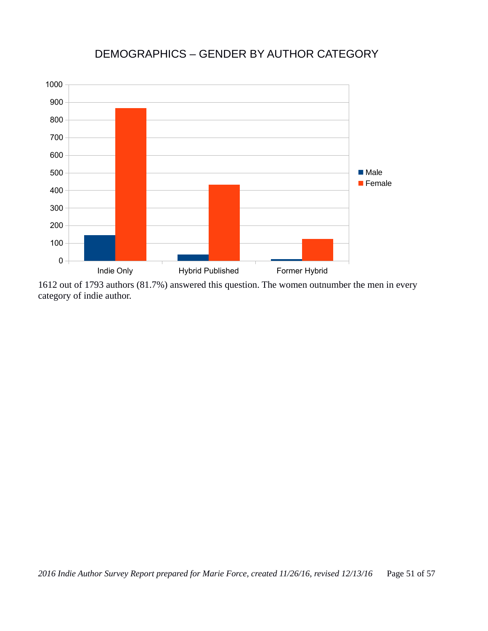# DEMOGRAPHICS – GENDER BY AUTHOR CATEGORY



1612 out of 1793 authors (81.7%) answered this question. The women outnumber the men in every category of indie author.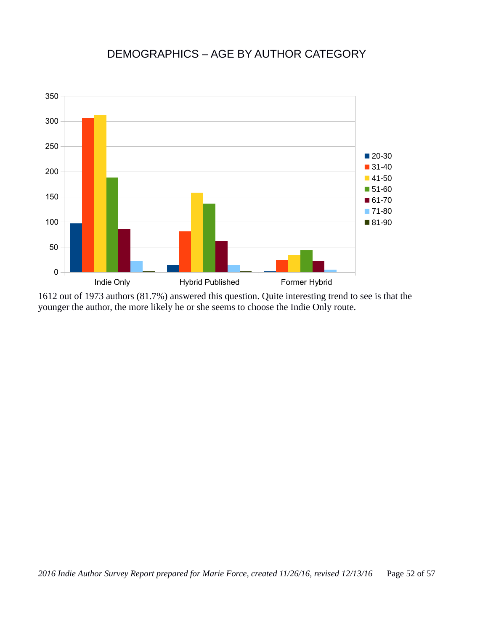# DEMOGRAPHICS – AGE BY AUTHOR CATEGORY



1612 out of 1973 authors (81.7%) answered this question. Quite interesting trend to see is that the younger the author, the more likely he or she seems to choose the Indie Only route.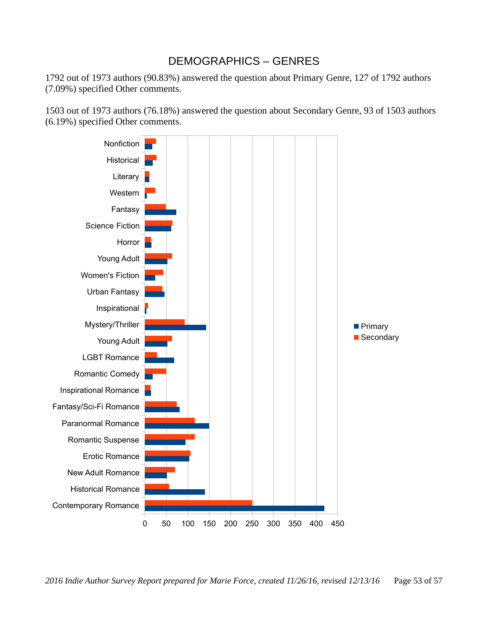#### DEMOGRAPHICS – GENRES

1792 out of 1973 authors (90.83%) answered the question about Primary Genre, 127 of 1792 authors (7.09%) specified Other comments.

1503 out of 1973 authors (76.18%) answered the question about Secondary Genre, 93 of 1503 authors (6.19%) specified Other comments.

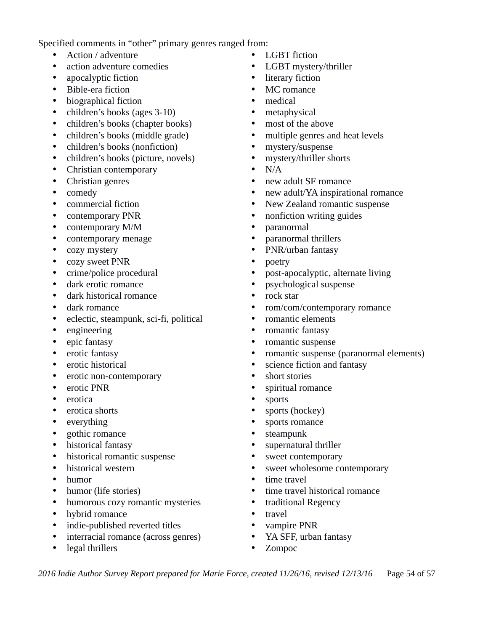Specified comments in "other" primary genres ranged from:

- Action / adventure
- action adventure comedies
- apocalyptic fiction
- Bible-era fiction
- biographical fiction
- children's books (ages 3-10)
- children's books (chapter books)
- children's books (middle grade)
- children's books (nonfiction)
- children's books (picture, novels)
- Christian contemporary
- Christian genres
- comedy
- commercial fiction
- contemporary PNR
- contemporary M/M
- contemporary menage
- cozy mystery
- cozy sweet PNR
- crime/police procedural
- dark erotic romance
- dark historical romance
- dark romance
- eclectic, steampunk, sci-fi, political
- engineering
- epic fantasy
- erotic fantasy
- erotic historical
- erotic non-contemporary
- erotic PNR
- erotica
- erotica shorts
- everything
- gothic romance
- historical fantasy
- historical romantic suspense
- historical western
- humor
- humor (life stories)
- humorous cozy romantic mysteries
- hybrid romance
- indie-published reverted titles
- interracial romance (across genres)
- legal thrillers
- **LGBT** fiction
- LGBT mystery/thriller
- literary fiction
- MC romance
- medical
- metaphysical
- most of the above
- multiple genres and heat levels
- mystery/suspense
- mystery/thriller shorts
- $\bullet$  N/A
- new adult SF romance
- new adult/YA inspirational romance
- New Zealand romantic suspense
- nonfiction writing guides
- paranormal
- paranormal thrillers
- PNR/urban fantasy
- poetry
- post-apocalyptic, alternate living
- psychological suspense
- rock star
- rom/com/contemporary romance
- romantic elements
- romantic fantasy
- romantic suspense
- romantic suspense (paranormal elements)
- science fiction and fantasy
- short stories
- spiritual romance
- **sports**
- sports (hockey)
- sports romance
- steampunk
- supernatural thriller
- sweet contemporary
- sweet wholesome contemporary
- time travel
- time travel historical romance
- traditional Regency
- travel
- vampire PNR
- YA SFF, urban fantasy
- Zompoc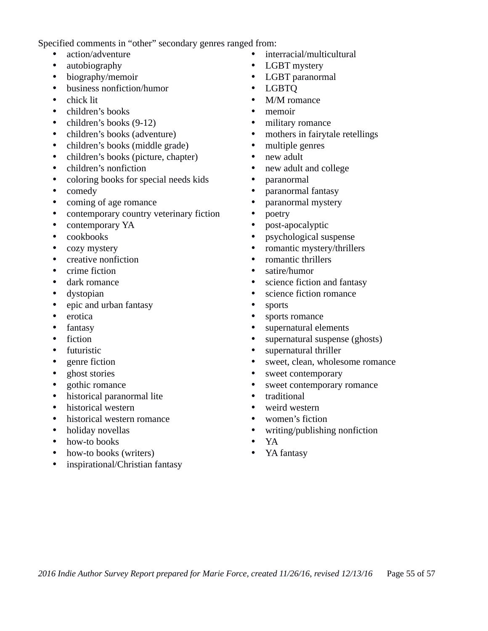Specified comments in "other" secondary genres ranged from:

- action/adventure
- autobiography
- biography/memoir
- business nonfiction/humor
- chick lit
- children's books
- children's books (9-12)
- children's books (adventure)
- children's books (middle grade)
- children's books (picture, chapter)
- children's nonfiction
- coloring books for special needs kids
- comedy
- coming of age romance
- contemporary country veterinary fiction
- contemporary YA
- cookbooks
- cozy mystery
- creative nonfiction
- crime fiction
- dark romance
- dystopian
- epic and urban fantasy
- erotica
- fantasy
- **fiction**
- futuristic
- genre fiction
- ghost stories
- gothic romance
- historical paranormal lite
- historical western
- historical western romance
- holiday novellas
- how-to books
- how-to books (writers)
- inspirational/Christian fantasy
- interracial/multicultural
- LGBT mystery
- LGBT paranormal
- LGBTQ
- M/M romance
- memoir
- military romance
- mothers in fairytale retellings
- multiple genres
- new adult
- new adult and college
- paranormal
- paranormal fantasy
- paranormal mystery
- poetry
- post-apocalyptic
- psychological suspense
- romantic mystery/thrillers
- romantic thrillers
- satire/humor
- science fiction and fantasy
- science fiction romance
- sports
- sports romance
- supernatural elements
- supernatural suspense (ghosts)
- supernatural thriller
- sweet, clean, wholesome romance
- sweet contemporary
- sweet contemporary romance
- traditional<br>• weird west
- weird western
- women's fiction
- writing/publishing nonfiction
- YA
- YA fantasy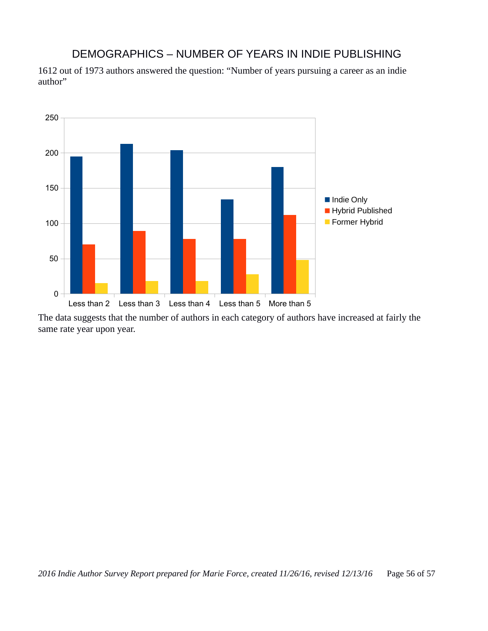#### DEMOGRAPHICS – NUMBER OF YEARS IN INDIE PUBLISHING

1612 out of 1973 authors answered the question: "Number of years pursuing a career as an indie author"



The data suggests that the number of authors in each category of authors have increased at fairly the same rate year upon year.